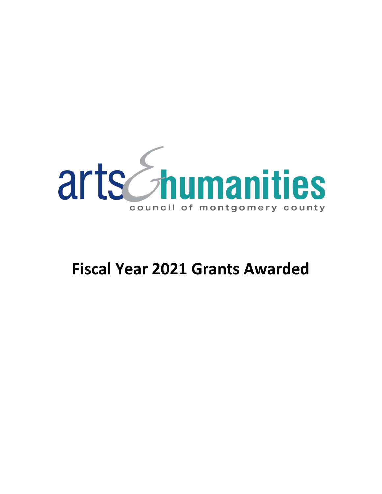

# **Fiscal Year 2021 Grants Awarded**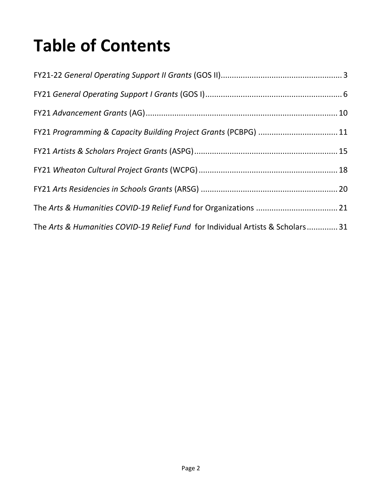# **Table of Contents**

| FY21 Programming & Capacity Building Project Grants (PCBPG)  11                |  |
|--------------------------------------------------------------------------------|--|
|                                                                                |  |
|                                                                                |  |
|                                                                                |  |
|                                                                                |  |
| The Arts & Humanities COVID-19 Relief Fund for Individual Artists & Scholars31 |  |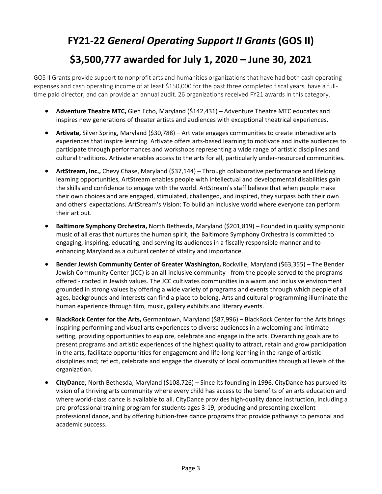## <span id="page-2-0"></span>**FY21-22** *General Operating Support II Grants* **(GOS II) \$3,500,777 awarded for July 1, 2020 – June 30, 2021**

GOS II Grants provide support to nonprofit arts and humanities organizations that have had both cash operating expenses and cash operating income of at least \$150,000 for the past three completed fiscal years, have a fulltime paid director, and can provide an annual audit. 26 organizations received FY21 awards in this category.

- **Adventure Theatre MTC,** Glen Echo, Maryland (\$142,431) Adventure Theatre MTC educates and inspires new generations of theater artists and audiences with exceptional theatrical experiences.
- **Artivate,** Silver Spring, Maryland (\$30,788) Artivate engages communities to create interactive arts experiences that inspire learning. Artivate offers arts-based learning to motivate and invite audiences to participate through performances and workshops representing a wide range of artistic disciplines and cultural traditions. Artivate enables access to the arts for all, particularly under-resourced communities.
- **ArtStream, Inc.,** Chevy Chase, Maryland (\$37,144) Through collaborative performance and lifelong learning opportunities, ArtStream enables people with intellectual and developmental disabilities gain the skills and confidence to engage with the world. ArtStream's staff believe that when people make their own choices and are engaged, stimulated, challenged, and inspired, they surpass both their own and others' expectations. ArtStream's Vision: To build an inclusive world where everyone can perform their art out.
- **Baltimore Symphony Orchestra,** North Bethesda, Maryland (\$201,819) Founded in quality symphonic music of all eras that nurtures the human spirit, the Baltimore Symphony Orchestra is committed to engaging, inspiring, educating, and serving its audiences in a fiscally responsible manner and to enhancing Maryland as a cultural center of vitality and importance.
- **Bender Jewish Community Center of Greater Washington,** Rockville, Maryland (\$63,355) The Bender Jewish Community Center (JCC) is an all-inclusive community - from the people served to the programs offered - rooted in Jewish values. The JCC cultivates communities in a warm and inclusive environment grounded in strong values by offering a wide variety of programs and events through which people of all ages, backgrounds and interests can find a place to belong. Arts and cultural programming illuminate the human experience through film, music, gallery exhibits and literary events.
- **BlackRock Center for the Arts,** Germantown, Maryland (\$87,996) BlackRock Center for the Arts brings inspiring performing and visual arts experiences to diverse audiences in a welcoming and intimate setting, providing opportunities to explore, celebrate and engage in the arts. Overarching goals are to present programs and artistic experiences of the highest quality to attract, retain and grow participation in the arts, facilitate opportunities for engagement and life-long learning in the range of artistic disciplines and; reflect, celebrate and engage the diversity of local communities through all levels of the organization.
- **CityDance,** North Bethesda, Maryland (\$108,726) Since its founding in 1996, CityDance has pursued its vision of a thriving arts community where every child has access to the benefits of an arts education and where world-class dance is available to all. CityDance provides high-quality dance instruction, including a pre-professional training program for students ages 3-19, producing and presenting excellent professional dance, and by offering tuition-free dance programs that provide pathways to personal and academic success.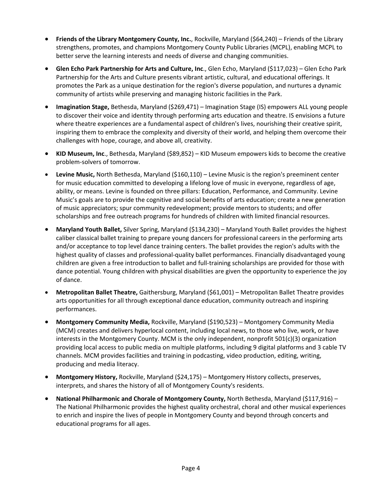- **Friends of the Library Montgomery County, Inc.**, Rockville, Maryland (\$64,240) Friends of the Library strengthens, promotes, and champions Montgomery County Public Libraries (MCPL), enabling MCPL to better serve the learning interests and needs of diverse and changing communities.
- **Glen Echo Park Partnership for Arts and Culture, Inc**., Glen Echo, Maryland (\$117,023) Glen Echo Park Partnership for the Arts and Culture presents vibrant artistic, cultural, and educational offerings. It promotes the Park as a unique destination for the region's diverse population, and nurtures a dynamic community of artists while preserving and managing historic facilities in the Park.
- **Imagination Stage,** Bethesda, Maryland (\$269,471) Imagination Stage (IS) empowers ALL young people to discover their voice and identity through performing arts education and theatre. IS envisions a future where theatre experiences are a fundamental aspect of children's lives, nourishing their creative spirit, inspiring them to embrace the complexity and diversity of their world, and helping them overcome their challenges with hope, courage, and above all, creativity.
- **KID Museum, Inc**., Bethesda, Maryland (\$89,852) KID Museum empowers kids to become the creative problem-solvers of tomorrow.
- **Levine Music,** North Bethesda, Maryland (\$160,110) Levine Music is the region's preeminent center for music education committed to developing a lifelong love of music in everyone, regardless of age, ability, or means. Levine is founded on three pillars: Education, Performance, and Community. Levine Music's goals are to provide the cognitive and social benefits of arts education; create a new generation of music appreciators; spur community redevelopment; provide mentors to students; and offer scholarships and free outreach programs for hundreds of children with limited financial resources.
- **Maryland Youth Ballet,** Silver Spring, Maryland (\$134,230) Maryland Youth Ballet provides the highest caliber classical ballet training to prepare young dancers for professional careers in the performing arts and/or acceptance to top level dance training centers. The ballet provides the region's adults with the highest quality of classes and professional-quality ballet performances. Financially disadvantaged young children are given a free introduction to ballet and full-training scholarships are provided for those with dance potential. Young children with physical disabilities are given the opportunity to experience the joy of dance.
- **Metropolitan Ballet Theatre,** Gaithersburg, Maryland (\$61,001) Metropolitan Ballet Theatre provides arts opportunities for all through exceptional dance education, community outreach and inspiring performances.
- **Montgomery Community Media,** Rockville, Maryland (\$190,523) Montgomery Community Media (MCM) creates and delivers hyperlocal content, including local news, to those who live, work, or have interests in the Montgomery County. MCM is the only independent, nonprofit 501(c)(3) organization providing local access to public media on multiple platforms, including 9 digital platforms and 3 cable TV channels. MCM provides facilities and training in podcasting, video production, editing, writing, producing and media literacy.
- **Montgomery History,** Rockville, Maryland (\$24,175) Montgomery History collects, preserves, interprets, and shares the history of all of Montgomery County's residents.
- National Philharmonic and Chorale of Montgomery County, North Bethesda, Maryland (\$117,916) The National Philharmonic provides the highest quality orchestral, choral and other musical experiences to enrich and inspire the lives of people in Montgomery County and beyond through concerts and educational programs for all ages.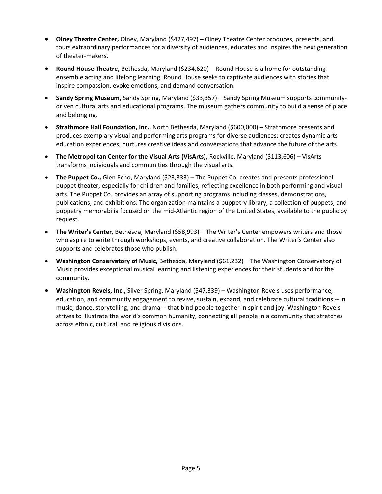- **Olney Theatre Center,** Olney, Maryland (\$427,497) Olney Theatre Center produces, presents, and tours extraordinary performances for a diversity of audiences, educates and inspires the next generation of theater-makers.
- **Round House Theatre,** Bethesda, Maryland (\$234,620) Round House is a home for outstanding ensemble acting and lifelong learning. Round House seeks to captivate audiences with stories that inspire compassion, evoke emotions, and demand conversation.
- **Sandy Spring Museum,** Sandy Spring, Maryland (\$33,357) Sandy Spring Museum supports communitydriven cultural arts and educational programs. The museum gathers community to build a sense of place and belonging.
- **Strathmore Hall Foundation, Inc.,** North Bethesda, Maryland (\$600,000) Strathmore presents and produces exemplary visual and performing arts programs for diverse audiences; creates dynamic arts education experiences; nurtures creative ideas and conversations that advance the future of the arts.
- **The Metropolitan Center for the Visual Arts (VisArts),** Rockville, Maryland (\$113,606) VisArts transforms individuals and communities through the visual arts.
- **The Puppet Co.,** Glen Echo, Maryland (\$23,333) The Puppet Co. creates and presents professional puppet theater, especially for children and families, reflecting excellence in both performing and visual arts. The Puppet Co. provides an array of supporting programs including classes, demonstrations, publications, and exhibitions. The organization maintains a puppetry library, a collection of puppets, and puppetry memorabilia focused on the mid-Atlantic region of the United States, available to the public by request.
- **The Writer's Center**, Bethesda, Maryland (\$58,993) The Writer's Center empowers writers and those who aspire to write through workshops, events, and creative collaboration. The Writer's Center also supports and celebrates those who publish.
- **Washington Conservatory of Music,** Bethesda, Maryland (\$61,232) The Washington Conservatory of Music provides exceptional musical learning and listening experiences for their students and for the community.
- **Washington Revels, Inc.,** Silver Spring, Maryland (\$47,339) Washington Revels uses performance, education, and community engagement to revive, sustain, expand, and celebrate cultural traditions -- in music, dance, storytelling, and drama -- that bind people together in spirit and joy. Washington Revels strives to illustrate the world's common humanity, connecting all people in a community that stretches across ethnic, cultural, and religious divisions.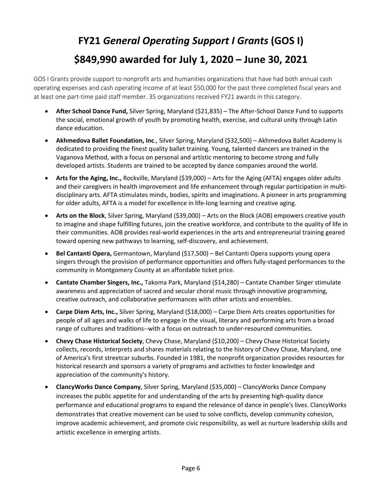## <span id="page-5-0"></span>**FY21** *General Operating Support I Grants* **(GOS I) \$849,990 awarded for July 1, 2020 – June 30, 2021**

GOS I Grants provide support to nonprofit arts and humanities organizations that have had both annual cash operating expenses and cash operating income of at least \$50,000 for the past three completed fiscal years and at least one part-time paid staff member. 35 organizations received FY21 awards in this category.

- **After School Dance Fund,** Silver Spring, Maryland (\$21,835) The After-School Dance Fund to supports the social, emotional growth of youth by promoting health, exercise, and cultural unity through Latin dance education.
- **Akhmedova Ballet Foundation, Inc**., Silver Spring, Maryland (\$32,500) Akhmedova Ballet Academy is dedicated to providing the finest quality ballet training. Young, talented dancers are trained in the Vaganova Method, with a focus on personal and artistic mentoring to become strong and fully developed artists. Students are trained to be accepted by dance companies around the world.
- **Arts for the Aging, Inc.,** Rockville, Maryland (\$39,000) Arts for the Aging (AFTA) engages older adults and their caregivers in health improvement and life enhancement through regular participation in multidisciplinary arts. AFTA stimulates minds, bodies, spirits and imaginations. A pioneer in arts programming for older adults, AFTA is a model for excellence in life-long learning and creative aging.
- **Arts on the Block**, Silver Spring, Maryland (\$39,000) Arts on the Block (AOB) empowers creative youth to imagine and shape fulfilling futures, join the creative workforce, and contribute to the quality of life in their communities. AOB provides real-world experiences in the arts and entrepreneurial training geared toward opening new pathways to learning, self-discovery, and achievement.
- **Bel Cantanti Opera,** Germantown, Maryland (\$17,500) Bel Cantanti Opera supports young opera singers through the provision of performance opportunities and offers fully-staged performances to the community in Montgomery County at an affordable ticket price.
- **Cantate Chamber Singers, Inc.,** Takoma Park, Maryland (\$14,280) Cantate Chamber Singer stimulate awareness and appreciation of sacred and secular choral music through innovative programming, creative outreach, and collaborative performances with other artists and ensembles.
- **Carpe Diem Arts, Inc.,** Silver Spring, Maryland (\$18,000) Carpe Diem Arts creates opportunities for people of all ages and walks of life to engage in the visual, literary and performing arts from a broad range of cultures and traditions--with a focus on outreach to under-resourced communities.
- **Chevy Chase Historical Society**, Chevy Chase, Maryland (\$10,200) Chevy Chase Historical Society collects, records, interprets and shares materials relating to the history of Chevy Chase, Maryland, one of America's first streetcar suburbs. Founded in 1981, the nonprofit organization provides resources for historical research and sponsors a variety of programs and activities to foster knowledge and appreciation of the community's history.
- **ClancyWorks Dance Company**, Silver Spring, Maryland (\$35,000) ClancyWorks Dance Company increases the public appetite for and understanding of the arts by presenting high-quality dance performance and educational programs to expand the relevance of dance in people's lives. ClancyWorks demonstrates that creative movement can be used to solve conflicts, develop community cohesion, improve academic achievement, and promote civic responsibility, as well as nurture leadership skills and artistic excellence in emerging artists.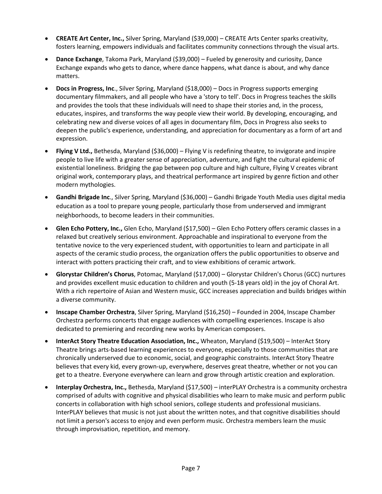- **CREATE Art Center, Inc.,** Silver Spring, Maryland (\$39,000) CREATE Arts Center sparks creativity, fosters learning, empowers individuals and facilitates community connections through the visual arts.
- **Dance Exchange**, Takoma Park, Maryland (\$39,000) Fueled by generosity and curiosity, Dance Exchange expands who gets to dance, where dance happens, what dance is about, and why dance matters.
- **Docs in Progress, Inc**., Silver Spring, Maryland (\$18,000) Docs in Progress supports emerging documentary filmmakers, and all people who have a 'story to tell'. Docs in Progress teaches the skills and provides the tools that these individuals will need to shape their stories and, in the process, educates, inspires, and transforms the way people view their world. By developing, encouraging, and celebrating new and diverse voices of all ages in documentary film, Docs in Progress also seeks to deepen the public's experience, understanding, and appreciation for documentary as a form of art and expression.
- **Flying V Ltd.,** Bethesda, Maryland (\$36,000) Flying V is redefining theatre, to invigorate and inspire people to live life with a greater sense of appreciation, adventure, and fight the cultural epidemic of existential loneliness. Bridging the gap between pop culture and high culture, Flying V creates vibrant original work, contemporary plays, and theatrical performance art inspired by genre fiction and other modern mythologies.
- **Gandhi Brigade Inc**., Silver Spring, Maryland (\$36,000) Gandhi Brigade Youth Media uses digital media education as a tool to prepare young people, particularly those from underserved and immigrant neighborhoods, to become leaders in their communities.
- **Glen Echo Pottery, Inc.,** Glen Echo, Maryland (\$17,500) Glen Echo Pottery offers ceramic classes in a relaxed but creatively serious environment. Approachable and inspirational to everyone from the tentative novice to the very experienced student, with opportunities to learn and participate in all aspects of the ceramic studio process, the organization offers the public opportunities to observe and interact with potters practicing their craft, and to view exhibitions of ceramic artwork.
- **Glorystar Children's Chorus**, Potomac, Maryland (\$17,000) Glorystar Children's Chorus (GCC) nurtures and provides excellent music education to children and youth (5-18 years old) in the joy of Choral Art. With a rich repertoire of Asian and Western music, GCC increases appreciation and builds bridges within a diverse community.
- **Inscape Chamber Orchestra**, Silver Spring, Maryland (\$16,250) Founded in 2004, Inscape Chamber Orchestra performs concerts that engage audiences with compelling experiences. Inscape is also dedicated to premiering and recording new works by American composers.
- **InterAct Story Theatre Education Association, Inc.,** Wheaton, Maryland (\$19,500) InterAct Story Theatre brings arts-based learning experiences to everyone, especially to those communities that are chronically underserved due to economic, social, and geographic constraints. InterAct Story Theatre believes that every kid, every grown-up, everywhere, deserves great theatre, whether or not you can get to a theatre. Everyone everywhere can learn and grow through artistic creation and exploration.
- **Interplay Orchestra, Inc.,** Bethesda, Maryland (\$17,500) interPLAY Orchestra is a community orchestra comprised of adults with cognitive and physical disabilities who learn to make music and perform public concerts in collaboration with high school seniors, college students and professional musicians. InterPLAY believes that music is not just about the written notes, and that cognitive disabilities should not limit a person's access to enjoy and even perform music. Orchestra members learn the music through improvisation, repetition, and memory.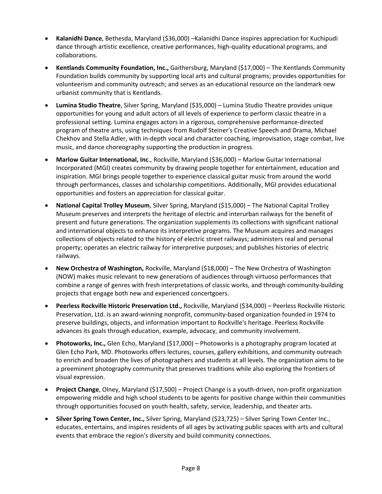- **Kalanidhi Dance**, Bethesda, Maryland (\$36,000) –Kalanidhi Dance inspires appreciation for Kuchipudi dance through artistic excellence, creative performances, high-quality educational programs, and collaborations.
- **Kentlands Community Foundation, Inc.,** Gaithersburg, Maryland (\$17,000) The Kentlands Community Foundation builds community by supporting local arts and cultural programs; provides opportunities for volunteerism and community outreach; and serves as an educational resource on the landmark new urbanist community that is Kentlands.
- **Lumina Studio Theatre**, Silver Spring, Maryland (\$35,000) Lumina Studio Theatre provides unique opportunities for young and adult actors of all levels of experience to perform classic theatre in a professional setting. Lumina engages actors in a rigorous, comprehensive performance-directed program of theatre arts, using techniques from Rudolf Steiner's Creative Speech and Drama, Michael Chekhov and Stella Adler, with in-depth vocal and character coaching, improvisation, stage combat, live music, and dance choreography supporting the production in progress.
- **Marlow Guitar International, Inc**., Rockville, Maryland (\$36,000) Marlow Guitar International Incorporated (MGI) creates community by drawing people together for entertainment, education and inspiration. MGI brings people together to experience classical guitar music from around the world through performances, classes and scholarship competitions. Additionally, MGI provides educational opportunities and fosters an appreciation for classical guitar.
- **National Capital Trolley Museum**, Silver Spring, Maryland (\$15,000) The National Capital Trolley Museum preserves and interprets the heritage of electric and interurban railways for the benefit of present and future generations. The organization supplements its collections with significant national and international objects to enhance its interpretive programs. The Museum acquires and manages collections of objects related to the history of electric street railways; administers real and personal property; operates an electric railway for interpretive purposes; and publishes histories of electric railways.
- **New Orchestra of Washington,** Rockville, Maryland (\$18,000) The New Orchestra of Washington (NOW) makes music relevant to new generations of audiences through virtuoso performances that combine a range of genres with fresh interpretations of classic works, and through community-building projects that engage both new and experienced concertgoers.
- **Peerless Rockville Historic Preservation Ltd.,** Rockville, Maryland (\$34,000) Peerless Rockville Historic Preservation, Ltd. is an award-winning nonprofit, community-based organization founded in 1974 to preserve buildings, objects, and information important to Rockville's heritage. Peerless Rockville advances its goals through education, example, advocacy, and community involvement.
- **Photoworks, Inc.,** Glen Echo, Maryland (\$17,000) Photoworks is a photography program located at Glen Echo Park, MD. Photoworks offers lectures, courses, gallery exhibitions, and community outreach to enrich and broaden the lives of photographers and students at all levels. The organization aims to be a preeminent photography community that preserves traditions while also exploring the frontiers of visual expression.
- **Project Change**, Olney, Maryland (\$17,500) Project Change is a youth-driven, non-profit organization empowering middle and high school students to be agents for positive change within their communities through opportunities focused on youth health, safety, service, leadership, and theater arts.
- **Silver Spring Town Center, Inc.,** Silver Spring, Maryland (\$23,725) Silver Spring Town Center Inc., educates, entertains, and inspires residents of all ages by activating public spaces with arts and cultural events that embrace the region's diversity and build community connections.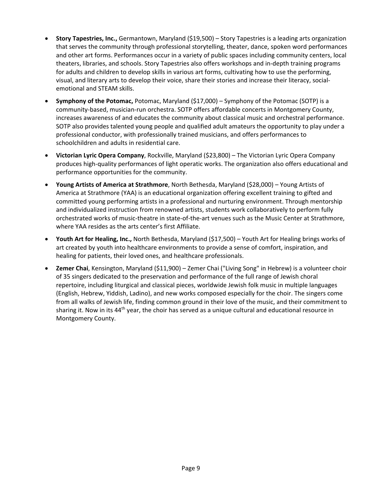- **Story Tapestries, Inc.,** Germantown, Maryland (\$19,500) Story Tapestries is a leading arts organization that serves the community through professional storytelling, theater, dance, spoken word performances and other art forms. Performances occur in a variety of public spaces including community centers, local theaters, libraries, and schools. Story Tapestries also offers workshops and in-depth training programs for adults and children to develop skills in various art forms, cultivating how to use the performing, visual, and literary arts to develop their voice, share their stories and increase their literacy, socialemotional and STEAM skills.
- **Symphony of the Potomac,** Potomac, Maryland (\$17,000) Symphony of the Potomac (SOTP) is a community-based, musician-run orchestra. SOTP offers affordable concerts in Montgomery County, increases awareness of and educates the community about classical music and orchestral performance. SOTP also provides talented young people and qualified adult amateurs the opportunity to play under a professional conductor, with professionally trained musicians, and offers performances to schoolchildren and adults in residential care.
- **Victorian Lyric Opera Company**, Rockville, Maryland (\$23,800) The Victorian Lyric Opera Company produces high-quality performances of light operatic works. The organization also offers educational and performance opportunities for the community.
- **Young Artists of America at Strathmore**, North Bethesda, Maryland (\$28,000) Young Artists of America at Strathmore (YAA) is an educational organization offering excellent training to gifted and committed young performing artists in a professional and nurturing environment. Through mentorship and individualized instruction from renowned artists, students work collaboratively to perform fully orchestrated works of music-theatre in state-of-the-art venues such as the Music Center at Strathmore, where YAA resides as the arts center's first Affiliate.
- **Youth Art for Healing, Inc.,** North Bethesda, Maryland (\$17,500) Youth Art for Healing brings works of art created by youth into healthcare environments to provide a sense of comfort, inspiration, and healing for patients, their loved ones, and healthcare professionals.
- **Zemer Chai**, Kensington, Maryland (\$11,900) Zemer Chai ("Living Song" in Hebrew) is a volunteer choir of 35 singers dedicated to the preservation and performance of the full range of Jewish choral repertoire, including liturgical and classical pieces, worldwide Jewish folk music in multiple languages (English, Hebrew, Yiddish, Ladino), and new works composed especially for the choir. The singers come from all walks of Jewish life, finding common ground in their love of the music, and their commitment to sharing it. Now in its 44<sup>th</sup> year, the choir has served as a unique cultural and educational resource in Montgomery County.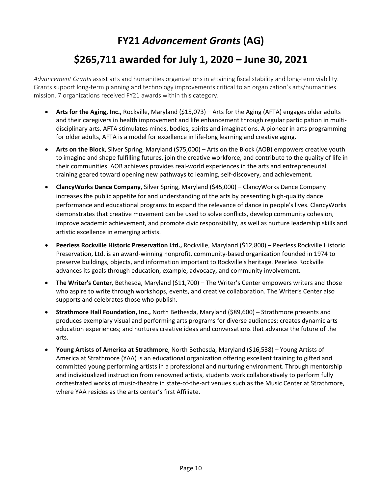#### <span id="page-9-0"></span>**FY21** *Advancement Grants* **(AG) \$265,711 awarded for July 1, 2020 – June 30, 2021**

*Advancement Grants* assist arts and humanities organizations in attaining fiscal stability and long-term viability. Grants support long-term planning and technology improvements critical to an organization's arts/humanities mission. 7 organizations received FY21 awards within this category.

- **Arts for the Aging, Inc.,** Rockville, Maryland (\$15,073) Arts for the Aging (AFTA) engages older adults and their caregivers in health improvement and life enhancement through regular participation in multidisciplinary arts. AFTA stimulates minds, bodies, spirits and imaginations. A pioneer in arts programming for older adults, AFTA is a model for excellence in life-long learning and creative aging.
- **Arts on the Block**, Silver Spring, Maryland (\$75,000) Arts on the Block (AOB) empowers creative youth to imagine and shape fulfilling futures, join the creative workforce, and contribute to the quality of life in their communities. AOB achieves provides real-world experiences in the arts and entrepreneurial training geared toward opening new pathways to learning, self-discovery, and achievement.
- **ClancyWorks Dance Company**, Silver Spring, Maryland (\$45,000) ClancyWorks Dance Company increases the public appetite for and understanding of the arts by presenting high-quality dance performance and educational programs to expand the relevance of dance in people's lives. ClancyWorks demonstrates that creative movement can be used to solve conflicts, develop community cohesion, improve academic achievement, and promote civic responsibility, as well as nurture leadership skills and artistic excellence in emerging artists.
- **Peerless Rockville Historic Preservation Ltd.,** Rockville, Maryland (\$12,800) Peerless Rockville Historic Preservation, Ltd. is an award-winning nonprofit, community-based organization founded in 1974 to preserve buildings, objects, and information important to Rockville's heritage. Peerless Rockville advances its goals through education, example, advocacy, and community involvement.
- **The Writer's Center**, Bethesda, Maryland (\$11,700) The Writer's Center empowers writers and those who aspire to write through workshops, events, and creative collaboration. The Writer's Center also supports and celebrates those who publish.
- **Strathmore Hall Foundation, Inc.,** North Bethesda, Maryland (\$89,600) Strathmore presents and produces exemplary visual and performing arts programs for diverse audiences; creates dynamic arts education experiences; and nurtures creative ideas and conversations that advance the future of the arts.
- **Young Artists of America at Strathmore**, North Bethesda, Maryland (\$16,538) Young Artists of America at Strathmore (YAA) is an educational organization offering excellent training to gifted and committed young performing artists in a professional and nurturing environment. Through mentorship and individualized instruction from renowned artists, students work collaboratively to perform fully orchestrated works of music-theatre in state-of-the-art venues such as the Music Center at Strathmore, where YAA resides as the arts center's first Affiliate.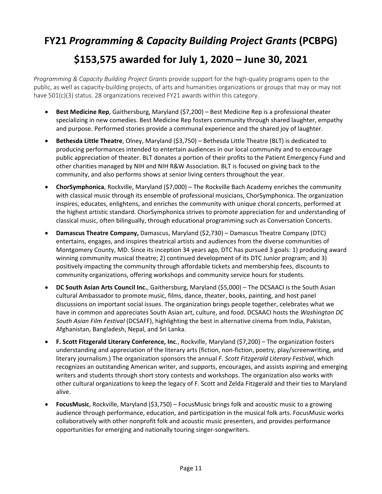#### <span id="page-10-0"></span>**FY21** *Programming & Capacity Building Project Grants* **(PCBPG) \$153,575 awarded for July 1, 2020 – June 30, 2021**

*Programming & Capacity Building Project Grants* provide support for the high-quality programs open to the public, as well as capacity-building projects, of arts and humanities organizations or groups that may or may not have 501(c)(3) status. 28 organizations received FY21 awards within this category.

- **Best Medicine Rep**, Gaithersburg, Maryland (\$7,200) Best Medicine Rep is a professional theater specializing in new comedies. Best Medicine Rep fosters community through shared laughter, empathy and purpose. Performed stories provide a communal experience and the shared joy of laughter.
- **Bethesda Little Theatre**, Olney, Maryland (\$3,750) Bethesda Little Theatre (BLT) is dedicated to producing performances intended to entertain audiences in our local community and to encourage public appreciation of theater. BLT donates a portion of their profits to the Patient Emergency Fund and other charities managed by NIH and NIH R&W Association. BLT is focused on giving back to the community, and also performs shows at senior living centers throughout the year.
- **ChorSymphonica**, Rockville, Maryland (\$7,000) The Rockville Bach Academy enriches the community with classical music through its ensemble of professional musicians, ChorSymphonica. The organization inspires, educates, enlightens, and enriches the community with unique choral concerts, performed at the highest artistic standard. ChorSymphonica strives to promote appreciation for and understanding of classical music, often bilingually, through educational programming such as Conversation Concerts.
- **Damascus Theatre Company,** Damascus, Maryland (\$2,730) Damascus Theatre Company (DTC) entertains, engages, and inspires theatrical artists and audiences from the diverse communities of Montgomery County, MD. Since its inception 34 years ago, DTC has pursued 3 goals: 1) producing award winning community musical theatre; 2) continued development of its DTC Junior program; and 3) positively impacting the community through affordable tickets and membership fees, discounts to community organizations, offering workshops and community service hours for students.
- **DC South Asian Arts Council Inc.**, Gaithersburg, Maryland (\$5,000) The DCSAACI is the South Asian cultural Ambassador to promote music, films, dance, theater, books, painting, and host panel discussions on important social issues. The organization brings people together, celebrates what we have in common and appreciates South Asian art, culture, and food. DCSAACI hosts the *Washington DC South Asian Film Festival* (DCSAFF), highlighting the best in alternative cinema from India, Pakistan, Afghanistan, Bangladesh, Nepal, and Sri Lanka.
- **F. Scott Fitzgerald Literary Conference, Inc**., Rockville, Maryland (\$7,200) The organization fosters understanding and appreciation of the literary arts (fiction, non-fiction, poetry, play/screenwriting, and literary journalism.) The organization sponsors the annual *F. Scott Fitzgerald Literary Festival*, which recognizes an outstanding American writer, and supports, encourages, and assists aspiring and emerging writers and students through short story contests and workshops. The organization also works with other cultural organizations to keep the legacy of F. Scott and Zelda Fitzgerald and their ties to Maryland alive.
- **FocusMusic**, Rockville, Maryland (\$3,750) FocusMusic brings folk and acoustic music to a growing audience through performance, education, and participation in the musical folk arts. FocusMusic works collaboratively with other nonprofit folk and acoustic music presenters, and provides performance opportunities for emerging and nationally touring singer-songwriters.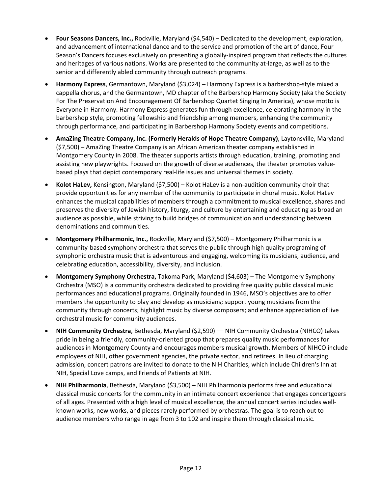- **Four Seasons Dancers, Inc.,** Rockville, Maryland (\$4,540) Dedicated to the development, exploration, and advancement of international dance and to the service and promotion of the art of dance, Four Season's Dancers focuses exclusively on presenting a globally-inspired program that reflects the cultures and heritages of various nations. Works are presented to the community at-large, as well as to the senior and differently abled community through outreach programs.
- **Harmony Express**, Germantown, Maryland (\$3,024) Harmony Express is a barbershop-style mixed a cappella chorus, and the Germantown, MD chapter of the Barbershop Harmony Society (aka the Society For The Preservation And Encouragement Of Barbershop Quartet Singing In America), whose motto is Everyone in Harmony. Harmony Express generates fun through excellence, celebrating harmony in the barbershop style, promoting fellowship and friendship among members, enhancing the community through performance, and participating in Barbershop Harmony Society events and competitions.
- **AmaZing Theatre Company, Inc. (Formerly Heralds of Hope Theatre Company)**, Laytonsville, Maryland (\$7,500) – AmaZing Theatre Company is an African American theater company established in Montgomery County in 2008. The theater supports artists through education, training, promoting and assisting new playwrights. Focused on the growth of diverse audiences, the theater promotes valuebased plays that depict contemporary real-life issues and universal themes in society.
- **Kolot HaLev,** Kensington, Maryland (\$7,500) Kolot HaLev is a non-audition community choir that provide opportunities for any member of the community to participate in choral music. Kolot HaLev enhances the musical capabilities of members through a commitment to musical excellence, shares and preserves the diversity of Jewish history, liturgy, and culture by entertaining and educating as broad an audience as possible, while striving to build bridges of communication and understanding between denominations and communities.
- **Montgomery Philharmonic, Inc.,** Rockville, Maryland (\$7,500) Montgomery Philharmonic is a community-based symphony orchestra that serves the public through high quality programing of symphonic orchestra music that is adventurous and engaging, welcoming its musicians, audience, and celebrating education, accessibility, diversity, and inclusion.
- **Montgomery Symphony Orchestra,** Takoma Park, Maryland (\$4,603) The Montgomery Symphony Orchestra (MSO) is a community orchestra dedicated to providing free quality public classical music performances and educational programs. Originally founded in 1946, MSO's objectives are to offer members the opportunity to play and develop as musicians; support young musicians from the community through concerts; highlight music by diverse composers; and enhance appreciation of live orchestral music for community audiences.
- **NIH Community Orchestra**, Bethesda, Maryland (\$2,590) –– NIH Community Orchestra (NIHCO) takes pride in being a friendly, community-oriented group that prepares quality music performances for audiences in Montgomery County and encourages members musical growth. Members of NIHCO include employees of NIH, other government agencies, the private sector, and retirees. In lieu of charging admission, concert patrons are invited to donate to the NIH Charities, which include Children's Inn at NIH, Special Love camps, and Friends of Patients at NIH.
- **NIH Philharmonia**, Bethesda, Maryland (\$3,500) NIH Philharmonia performs free and educational classical music concerts for the community in an intimate concert experience that engages concertgoers of all ages. Presented with a high level of musical excellence, the annual concert series includes wellknown works, new works, and pieces rarely performed by orchestras. The goal is to reach out to audience members who range in age from 3 to 102 and inspire them through classical music.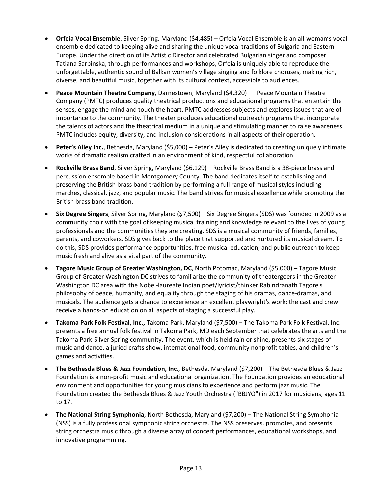- **Orfeia Vocal Ensemble**, Silver Spring, Maryland (\$4,485) Orfeia Vocal Ensemble is an all-woman's vocal ensemble dedicated to keeping alive and sharing the unique vocal traditions of Bulgaria and Eastern Europe. Under the direction of its Artistic Director and celebrated Bulgarian singer and composer Tatiana Sarbinska, through performances and workshops, Orfeia is uniquely able to reproduce the unforgettable, authentic sound of Balkan women's village singing and folklore choruses, making rich, diverse, and beautiful music, together with its cultural context, accessible to audiences.
- **Peace Mountain Theatre Company**, Darnestown, Maryland (\$4,320) –– Peace Mountain Theatre Company (PMTC) produces quality theatrical productions and educational programs that entertain the senses, engage the mind and touch the heart. PMTC addresses subjects and explores issues that are of importance to the community. The theater produces educational outreach programs that incorporate the talents of actors and the theatrical medium in a unique and stimulating manner to raise awareness. PMTC includes equity, diversity, and inclusion considerations in all aspects of their operation.
- **Peter's Alley Inc.**, Bethesda, Maryland (\$5,000) Peter's Alley is dedicated to creating uniquely intimate works of dramatic realism crafted in an environment of kind, respectful collaboration.
- **Rockville Brass Band**, Silver Spring, Maryland (\$6,129) Rockville Brass Band is a 38-piece brass and percussion ensemble based in Montgomery County. The band dedicates itself to establishing and preserving the British brass band tradition by performing a full range of musical styles including marches, classical, jazz, and popular music. The band strives for musical excellence while promoting the British brass band tradition.
- **Six Degree Singers**, Silver Spring, Maryland (\$7,500) Six Degree Singers (SDS) was founded in 2009 as a community choir with the goal of keeping musical training and knowledge relevant to the lives of young professionals and the communities they are creating. SDS is a musical community of friends, families, parents, and coworkers. SDS gives back to the place that supported and nurtured its musical dream. To do this, SDS provides performance opportunities, free musical education, and public outreach to keep music fresh and alive as a vital part of the community.
- **Tagore Music Group of Greater Washington, DC**, North Potomac, Maryland (\$5,000) Tagore Music Group of Greater Washington DC strives to familiarize the community of theatergoers in the Greater Washington DC area with the Nobel-laureate Indian poet/lyricist/thinker Rabindranath Tagore's philosophy of peace, humanity, and equality through the staging of his dramas, dance-dramas, and musicals. The audience gets a chance to experience an excellent playwright's work; the cast and crew receive a hands-on education on all aspects of staging a successful play.
- **Takoma Park Folk Festival, Inc.,** Takoma Park, Maryland (\$7,500) The Takoma Park Folk Festival, Inc. presents a free annual folk festival in Takoma Park, MD each September that celebrates the arts and the Takoma Park-Silver Spring community. The event, which is held rain or shine, presents six stages of music and dance, a juried crafts show, international food, community nonprofit tables, and children's games and activities.
- **The Bethesda Blues & Jazz Foundation, Inc**., Bethesda, Maryland (\$7,200) The Bethesda Blues & Jazz Foundation is a non-profit music and educational organization. The Foundation provides an educational environment and opportunities for young musicians to experience and perform jazz music. The Foundation created the Bethesda Blues & Jazz Youth Orchestra ("BBJYO") in 2017 for musicians, ages 11 to 17.
- **The National String Symphonia**, North Bethesda, Maryland (\$7,200) The National String Symphonia (NSS) is a fully professional symphonic string orchestra. The NSS preserves, promotes, and presents string orchestra music through a diverse array of concert performances, educational workshops, and innovative programming.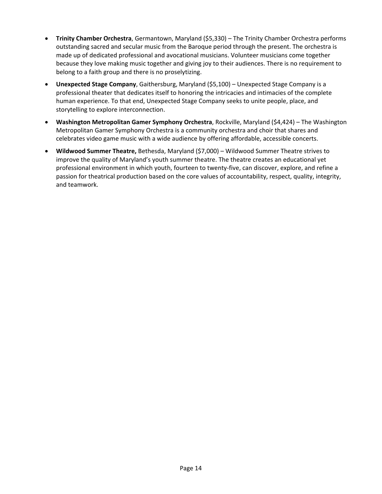- **Trinity Chamber Orchestra**, Germantown, Maryland (\$5,330) The Trinity Chamber Orchestra performs outstanding sacred and secular music from the Baroque period through the present. The orchestra is made up of dedicated professional and avocational musicians. Volunteer musicians come together because they love making music together and giving joy to their audiences. There is no requirement to belong to a faith group and there is no proselytizing.
- **Unexpected Stage Company**, Gaithersburg, Maryland (\$5,100) Unexpected Stage Company is a professional theater that dedicates itself to honoring the intricacies and intimacies of the complete human experience. To that end, Unexpected Stage Company seeks to unite people, place, and storytelling to explore interconnection.
- **Washington Metropolitan Gamer Symphony Orchestra**, Rockville, Maryland (\$4,424) The Washington Metropolitan Gamer Symphony Orchestra is a community orchestra and choir that shares and celebrates video game music with a wide audience by offering affordable, accessible concerts.
- **Wildwood Summer Theatre,** Bethesda, Maryland (\$7,000) Wildwood Summer Theatre strives to improve the quality of Maryland's youth summer theatre. The theatre creates an educational yet professional environment in which youth, fourteen to twenty-five, can discover, explore, and refine a passion for theatrical production based on the core values of accountability, respect, quality, integrity, and teamwork.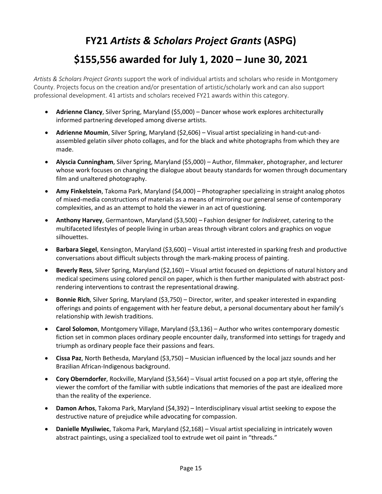### <span id="page-14-0"></span>**FY21** *Artists & Scholars Project Grants* **(ASPG) \$155,556 awarded for July 1, 2020 – June 30, 2021**

*Artists & Scholars Project Grants* support the work of individual artists and scholars who reside in Montgomery County. Projects focus on the creation and/or presentation of artistic/scholarly work and can also support professional development. 41 artists and scholars received FY21 awards within this category.

- **Adrienne Clancy**, Silver Spring, Maryland (\$5,000) Dancer whose work explores architecturally informed partnering developed among diverse artists.
- **Adrienne Moumin**, Silver Spring, Maryland (\$2,606) Visual artist specializing in hand-cut-andassembled gelatin silver photo collages, and for the black and white photographs from which they are made.
- **Alyscia Cunningham**, Silver Spring, Maryland (\$5,000) Author, filmmaker, photographer, and lecturer whose work focuses on changing the dialogue about beauty standards for women through documentary film and unaltered photography.
- **Amy Finkelstein**, Takoma Park, Maryland (\$4,000) Photographer specializing in straight analog photos of mixed-media constructions of materials as a means of mirroring our general sense of contemporary complexities, and as an attempt to hold the viewer in an act of questioning.
- **Anthony Harvey**, Germantown, Maryland (\$3,500) Fashion designer for *Indiskreet*, catering to the multifaceted lifestyles of people living in urban areas through vibrant colors and graphics on vogue silhouettes.
- **Barbara Siegel**, Kensington, Maryland (\$3,600) Visual artist interested in sparking fresh and productive conversations about difficult subjects through the mark-making process of painting.
- **Beverly Ress**, Silver Spring, Maryland (\$2,160) Visual artist focused on depictions of natural history and medical specimens using colored pencil on paper, which is then further manipulated with abstract postrendering interventions to contrast the representational drawing.
- **Bonnie Rich**, Silver Spring, Maryland (\$3,750) Director, writer, and speaker interested in expanding offerings and points of engagement with her feature debut, a personal documentary about her family's relationship with Jewish traditions.
- **Carol Solomon**, Montgomery Village, Maryland (\$3,136) Author who writes contemporary domestic fiction set in common places ordinary people encounter daily, transformed into settings for tragedy and triumph as ordinary people face their passions and fears.
- **Cissa Paz**, North Bethesda, Maryland (\$3,750) Musician influenced by the local jazz sounds and her Brazilian African-Indigenous background.
- **Cory Oberndorfer**, Rockville, Maryland (\$3,564) Visual artist focused on a pop art style, offering the viewer the comfort of the familiar with subtle indications that memories of the past are idealized more than the reality of the experience.
- **Damon Arhos**, Takoma Park, Maryland (\$4,392) Interdisciplinary visual artist seeking to expose the destructive nature of prejudice while advocating for compassion.
- **Danielle Mysliwiec**, Takoma Park, Maryland (\$2,168) Visual artist specializing in intricately woven abstract paintings, using a specialized tool to extrude wet oil paint in "threads."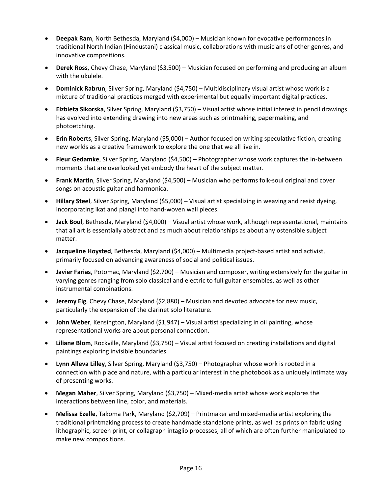- **Deepak Ram**, North Bethesda, Maryland (\$4,000) Musician known for evocative performances in traditional North Indian (Hindustani) classical music, collaborations with musicians of other genres, and innovative compositions.
- **Derek Ross**, Chevy Chase, Maryland (\$3,500) Musician focused on performing and producing an album with the ukulele.
- **Dominick Rabrun**, Silver Spring, Maryland (\$4,750) Multidisciplinary visual artist whose work is a mixture of traditional practices merged with experimental but equally important digital practices.
- **Elzbieta Sikorska**, Silver Spring, Maryland (\$3,750) Visual artist whose initial interest in pencil drawings has evolved into extending drawing into new areas such as printmaking, papermaking, and photoetching.
- **Erin Roberts**, Silver Spring, Maryland (\$5,000) Author focused on writing speculative fiction, creating new worlds as a creative framework to explore the one that we all live in.
- **Fleur Gedamke**, Silver Spring, Maryland (\$4,500) Photographer whose work captures the in-between moments that are overlooked yet embody the heart of the subject matter.
- **Frank Martin**, Silver Spring, Maryland (\$4,500) Musician who performs folk-soul original and cover songs on acoustic guitar and harmonica.
- **Hillary Steel**, Silver Spring, Maryland (\$5,000) Visual artist specializing in weaving and resist dyeing, incorporating ikat and plangi into hand-woven wall pieces.
- **Jack Boul**, Bethesda, Maryland (\$4,000) Visual artist whose work, although representational, maintains that all art is essentially abstract and as much about relationships as about any ostensible subject matter.
- **Jacqueline Hoysted**, Bethesda, Maryland (\$4,000) Multimedia project-based artist and activist, primarily focused on advancing awareness of social and political issues.
- **Javier Farias**, Potomac, Maryland (\$2,700) Musician and composer, writing extensively for the guitar in varying genres ranging from solo classical and electric to full guitar ensembles, as well as other instrumental combinations.
- **Jeremy Eig**, Chevy Chase, Maryland (\$2,880) Musician and devoted advocate for new music, particularly the expansion of the clarinet solo literature.
- **John Weber**, Kensington, Maryland (\$1,947) Visual artist specializing in oil painting, whose representational works are about personal connection.
- **Liliane Blom**, Rockville, Maryland (\$3,750) Visual artist focused on creating installations and digital paintings exploring invisible boundaries.
- **Lynn Alleva Lilley**, Silver Spring, Maryland (\$3,750) Photographer whose work is rooted in a connection with place and nature, with a particular interest in the photobook as a uniquely intimate way of presenting works.
- **Megan Maher**, Silver Spring, Maryland (\$3,750) Mixed-media artist whose work explores the interactions between line, color, and materials.
- **Melissa Ezelle**, Takoma Park, Maryland (\$2,709) Printmaker and mixed-media artist exploring the traditional printmaking process to create handmade standalone prints, as well as prints on fabric using lithographic, screen print, or collagraph intaglio processes, all of which are often further manipulated to make new compositions.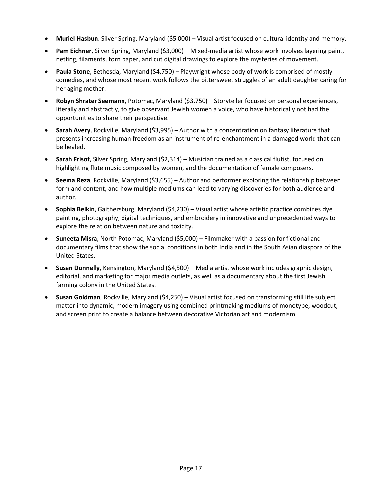- **Muriel Hasbun**, Silver Spring, Maryland (\$5,000) Visual artist focused on cultural identity and memory.
- **Pam Eichner**, Silver Spring, Maryland (\$3,000) Mixed-media artist whose work involves layering paint, netting, filaments, torn paper, and cut digital drawings to explore the mysteries of movement.
- **Paula Stone**, Bethesda, Maryland (\$4,750) Playwright whose body of work is comprised of mostly comedies, and whose most recent work follows the bittersweet struggles of an adult daughter caring for her aging mother.
- **Robyn Shrater Seemann**, Potomac, Maryland (\$3,750) Storyteller focused on personal experiences, literally and abstractly, to give observant Jewish women a voice, who have historically not had the opportunities to share their perspective.
- **Sarah Avery**, Rockville, Maryland (\$3,995) Author with a concentration on fantasy literature that presents increasing human freedom as an instrument of re-enchantment in a damaged world that can be healed.
- **Sarah Frisof**, Silver Spring, Maryland (\$2,314) Musician trained as a classical flutist, focused on highlighting flute music composed by women, and the documentation of female composers.
- **Seema Reza**, Rockville, Maryland (\$3,655) Author and performer exploring the relationship between form and content, and how multiple mediums can lead to varying discoveries for both audience and author.
- **Sophia Belkin**, Gaithersburg, Maryland (\$4,230) Visual artist whose artistic practice combines dye painting, photography, digital techniques, and embroidery in innovative and unprecedented ways to explore the relation between nature and toxicity.
- **Suneeta Misra**, North Potomac, Maryland (\$5,000) Filmmaker with a passion for fictional and documentary films that show the social conditions in both India and in the South Asian diaspora of the United States.
- **Susan Donnelly**, Kensington, Maryland (\$4,500) Media artist whose work includes graphic design, editorial, and marketing for major media outlets, as well as a documentary about the first Jewish farming colony in the United States.
- **Susan Goldman**, Rockville, Maryland (\$4,250) Visual artist focused on transforming still life subject matter into dynamic, modern imagery using combined printmaking mediums of monotype, woodcut, and screen print to create a balance between decorative Victorian art and modernism.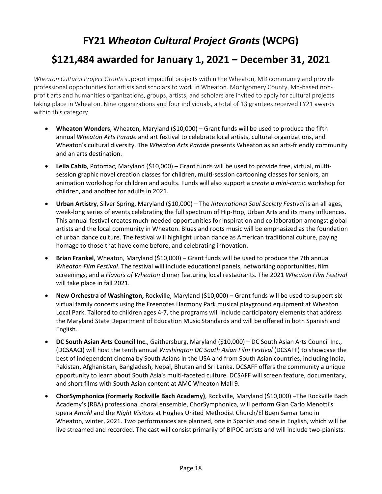#### <span id="page-17-0"></span>**FY21** *Wheaton Cultural Project Grants* **(WCPG) \$121,484 awarded for January 1, 2021 – December 31, 2021**

*Wheaton Cultural Project Grants* support impactful projects within the Wheaton, MD community and provide professional opportunities for artists and scholars to work in Wheaton. Montgomery County, Md-based nonprofit arts and humanities organizations, groups, artists, and scholars are invited to apply for cultural projects taking place in Wheaton. Nine organizations and four individuals, a total of 13 grantees received FY21 awards within this category.

- **Wheaton Wonders**, Wheaton, Maryland (\$10,000) Grant funds will be used to produce the fifth annual *Wheaton Arts Parade* and art festival to celebrate local artists, cultural organizations, and Wheaton's cultural diversity. The *Wheaton Arts Parade* presents Wheaton as an arts-friendly community and an arts destination.
- **Leila Cabib**, Potomac, Maryland (\$10,000) Grant funds will be used to provide free, virtual, multisession graphic novel creation classes for children, multi-session cartooning classes for seniors, an animation workshop for children and adults. Funds will also support a *create a mini-comic* workshop for children, and another for adults in 2021.
- **Urban Artistry**, Silver Spring, Maryland (\$10,000) The *International Soul Society Festival* is an all ages, week-long series of events celebrating the full spectrum of Hip-Hop, Urban Arts and its many influences. This annual festival creates much-needed opportunities for inspiration and collaboration amongst global artists and the local community in Wheaton. Blues and roots music will be emphasized as the foundation of urban dance culture. The festival will highlight urban dance as American traditional culture, paying homage to those that have come before, and celebrating innovation.
- **Brian Frankel**, Wheaton, Maryland (\$10,000) Grant funds will be used to produce the 7th annual *Wheaton Film Festival*. The festival will include educational panels, networking opportunities, film screenings, and a *Flavors of Wheaton* dinner featuring local restaurants. The 2021 *Wheaton Film Festival* will take place in fall 2021.
- **New Orchestra of Washington,** Rockville, Maryland (\$10,000) Grant funds will be used to support six virtual family concerts using the Freenotes Harmony Park musical playground equipment at Wheaton Local Park. Tailored to children ages 4-7, the programs will include participatory elements that address the Maryland State Department of Education Music Standards and will be offered in both Spanish and English.
- **DC South Asian Arts Council Inc.**, Gaithersburg, Maryland (\$10,000) DC South Asian Arts Council Inc., (DCSAACI) will host the tenth annual *Washington DC South Asian Film Festival* (DCSAFF) to showcase the best of independent cinema by South Asians in the USA and from South Asian countries, including India, Pakistan, Afghanistan, Bangladesh, Nepal, Bhutan and Sri Lanka. DCSAFF offers the community a unique opportunity to learn about South Asia's multi-faceted culture. DCSAFF will screen feature, documentary, and short films with South Asian content at AMC Wheaton Mall 9.
- **ChorSymphonica (formerly Rockville Bach Academy)**, Rockville, Maryland (\$10,000) –The Rockville Bach Academy's (RBA) professional choral ensemble, ChorSymphonica, will perform Gian Carlo Menotti's opera *Amahl* and the *Night Visitors* at Hughes United Methodist Church/El Buen Samaritano in Wheaton, winter, 2021. Two performances are planned, one in Spanish and one in English, which will be live streamed and recorded. The cast will consist primarily of BIPOC artists and will include two-pianists.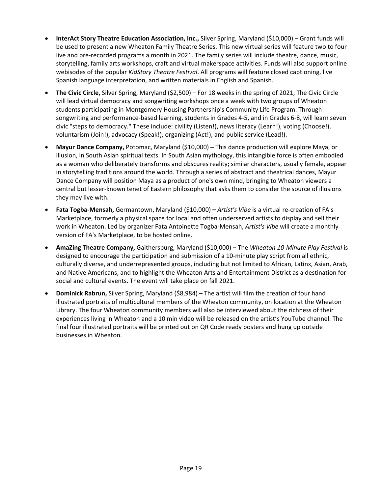- **InterAct Story Theatre Education Association, Inc.,** Silver Spring, Maryland (\$10,000) Grant funds will be used to present a new Wheaton Family Theatre Series. This new virtual series will feature two to four live and pre-recorded programs a month in 2021. The family series will include theatre, dance, music, storytelling, family arts workshops, craft and virtual makerspace activities. Funds will also support online webisodes of the popular *KidStory Theatre Festival*. All programs will feature closed captioning, live Spanish language interpretation, and written materials in English and Spanish.
- **The Civic Circle,** Silver Spring, Maryland (\$2,500) For 18 weeks in the spring of 2021, The Civic Circle will lead virtual democracy and songwriting workshops once a week with two groups of Wheaton students participating in Montgomery Housing Partnership's Community Life Program. Through songwriting and performance-based learning, students in Grades 4-5, and in Grades 6-8, will learn seven civic "steps to democracy." These include: civility (Listen!), news literacy (Learn!), voting (Choose!), voluntarism (Join!), advocacy (Speak!), organizing (Act!), and public service (Lead!).
- **Mayur Dance Company,** Potomac, Maryland (\$10,000) **–** This dance production will explore Maya, or illusion, in South Asian spiritual texts. In South Asian mythology, this intangible force is often embodied as a woman who deliberately transforms and obscures reality; similar characters, usually female, appear in storytelling traditions around the world. Through a series of abstract and theatrical dances, Mayur Dance Company will position Maya as a product of one's own mind, bringing to Wheaton viewers a central but lesser-known tenet of Eastern philosophy that asks them to consider the source of illusions they may live with.
- **Fata Togba-Mensah,** Germantown, Maryland (\$10,000) **–** *Artist's Vibe* is a virtual re-creation of FA's Marketplace, formerly a physical space for local and often underserved artists to display and sell their work in Wheaton. Led by organizer Fata Antoinette Togba-Mensah, *Artist's Vibe* will create a monthly version of FA's Marketplace, to be hosted online.
- **AmaZing Theatre Company,** Gaithersburg, Maryland (\$10,000) The *Wheaton 10-Minute Play Festival* is designed to encourage the participation and submission of a 10-minute play script from all ethnic, culturally diverse, and underrepresented groups, including but not limited to African, Latinx, Asian, Arab, and Native Americans, and to highlight the Wheaton Arts and Entertainment District as a destination for social and cultural events. The event will take place on fall 2021.
- **Dominick Rabrun,** Silver Spring, Maryland (\$8,984) The artist will film the creation of four hand illustrated portraits of multicultural members of the Wheaton community, on location at the Wheaton Library. The four Wheaton community members will also be interviewed about the richness of their experiences living in Wheaton and a 10 min video will be released on the artist's YouTube channel. The final four illustrated portraits will be printed out on QR Code ready posters and hung up outside businesses in Wheaton.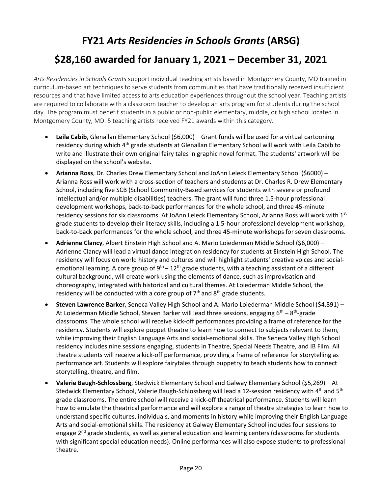#### <span id="page-19-0"></span>**FY21** *Arts Residencies in Schools Grants* **(ARSG) \$28,160 awarded for January 1, 2021 – December 31, 2021**

*Arts Residencies in Schools Grants* support individual teaching artists based in Montgomery County, MD trained in curriculum-based art techniques to serve students from communities that have traditionally received insufficient resources and that have limited access to arts education experiences throughout the school year. Teaching artists are required to collaborate with a classroom teacher to develop an arts program for students during the school day. The program must benefit students in a public or non-public elementary, middle, or high school located in Montgomery County, MD. 5 teaching artists received FY21 awards within this category.

- **Leila Cabib**, Glenallan Elementary School (\$6,000) Grant funds will be used for a virtual cartooning residency during which 4<sup>th</sup> grade students at Glenallan Elementary School will work with Leila Cabib to write and illustrate their own original fairy tales in graphic novel format. The students' artwork will be displayed on the school's website.
- **Arianna Ross**, Dr. Charles Drew Elementary School and JoAnn Leleck Elementary School (\$6000) Arianna Ross will work with a cross-section of teachers and students at Dr. Charles R. Drew Elementary School, including five SCB (School Community-Based services for students with severe or profound intellectual and/or multiple disabilities) teachers. The grant will fund three 1.5-hour professional development workshops, back-to-back performances for the whole school, and three 45-minute residency sessions for six classrooms. At JoAnn Leleck Elementary School, Arianna Ross will work with 1st grade students to develop their literacy skills, including a 1.5-hour professional development workshop, back-to-back performances for the whole school, and three 45-minute workshops for seven classrooms.
- **Adrienne Clancy**, Albert Einstein High School and A. Mario Loiederman Middle School (\$6,000) Adrienne Clancy will lead a virtual dance integration residency for students at Einstein High School. The residency will focus on world history and cultures and will highlight students' creative voices and socialemotional learning. A core group of  $9^{th} - 12^{th}$  grade students, with a teaching assistant of a different cultural background, will create work using the elements of dance, such as improvisation and choreography, integrated with historical and cultural themes. At Loiederman Middle School, the residency will be conducted with a core group of  $7<sup>th</sup>$  and  $8<sup>th</sup>$  grade students.
- **Steven Lawrence Barker**, Seneca Valley High School and A. Mario Loiederman Middle School (\$4,891) At Loiederman Middle School, Steven Barker will lead three sessions, engaging  $6^{th} - 8^{th}$ -grade classrooms. The whole school will receive kick-off performances providing a frame of reference for the residency. Students will explore puppet theatre to learn how to connect to subjects relevant to them, while improving their English Language Arts and social-emotional skills. The Seneca Valley High School residency includes nine sessions engaging, students in Theatre, Special Needs Theatre, and IB Film. All theatre students will receive a kick-off performance, providing a frame of reference for storytelling as performance art. Students will explore fairytales through puppetry to teach students how to connect storytelling, theatre, and film.
- **Valerie Baugh-Schlossberg**, Stedwick Elementary School and Galway Elementary School (\$5,269) At Stedwick Elementary School, Valerie Baugh-Schlossberg will lead a 12-session residency with 4<sup>th</sup> and 5<sup>th</sup> grade classrooms. The entire school will receive a kick-off theatrical performance. Students will learn how to emulate the theatrical performance and will explore a range of theatre strategies to learn how to understand specific cultures, individuals, and moments in history while improving their English Language Arts and social-emotional skills. The residency at Galway Elementary School includes four sessions to engage 2<sup>nd</sup> grade students, as well as general education and learning centers (classrooms for students with significant special education needs). Online performances will also expose students to professional theatre.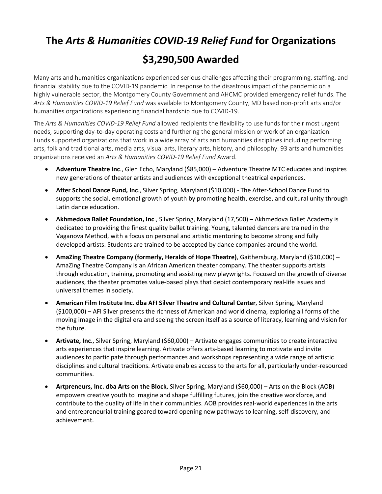# <span id="page-20-0"></span>**The** *Arts & Humanities COVID-19 Relief Fund* **for Organizations \$3,290,500 Awarded**

Many arts and humanities organizations experienced serious challenges affecting their programming, staffing, and financial stability due to the COVID-19 pandemic. In response to the disastrous impact of the pandemic on a highly vulnerable sector, the Montgomery County Government and AHCMC provided emergency relief funds. The *Arts & Humanities COVID-19 Relief Fund* was available to Montgomery County, MD based non-profit arts and/or humanities organizations experiencing financial hardship due to COVID-19.

The *Arts & Humanities COVID-19 Relief Fund* allowed recipients the flexibility to use funds for their most urgent needs, supporting day-to-day operating costs and furthering the general mission or work of an organization. Funds supported organizations that work in a wide array of arts and humanities disciplines including performing arts, folk and traditional arts, media arts, visual arts, literary arts, history, and philosophy. 93 arts and humanities organizations received an *Arts & Humanities COVID-19 Relief Fund* Award.

- **Adventure Theatre Inc**., Glen Echo, Maryland (\$85,000) Adventure Theatre MTC educates and inspires new generations of theater artists and audiences with exceptional theatrical experiences.
- **After School Dance Fund, Inc**., Silver Spring, Maryland (\$10,000) The After-School Dance Fund to supports the social, emotional growth of youth by promoting health, exercise, and cultural unity through Latin dance education.
- **Akhmedova Ballet Foundation, Inc**., Silver Spring, Maryland (17,500) Akhmedova Ballet Academy is dedicated to providing the finest quality ballet training. Young, talented dancers are trained in the Vaganova Method, with a focus on personal and artistic mentoring to become strong and fully developed artists. Students are trained to be accepted by dance companies around the world.
- **AmaZing Theatre Company (formerly, Heralds of Hope Theatre)**, Gaithersburg, Maryland (\$10,000) AmaZing Theatre Company is an African American theater company. The theater supports artists through education, training, promoting and assisting new playwrights. Focused on the growth of diverse audiences, the theater promotes value-based plays that depict contemporary real-life issues and universal themes in society.
- **American Film Institute Inc. dba AFI Silver Theatre and Cultural Center**, Silver Spring, Maryland (\$100,000) – AFI Silver presents the richness of American and world cinema, exploring all forms of the moving image in the digital era and seeing the screen itself as a source of literacy, learning and vision for the future.
- **Artivate, Inc**., Silver Spring, Maryland (\$60,000) Artivate engages communities to create interactive arts experiences that inspire learning. Artivate offers arts-based learning to motivate and invite audiences to participate through performances and workshops representing a wide range of artistic disciplines and cultural traditions. Artivate enables access to the arts for all, particularly under-resourced communities.
- **Artpreneurs, Inc. dba Arts on the Block**, Silver Spring, Maryland (\$60,000) Arts on the Block (AOB) empowers creative youth to imagine and shape fulfilling futures, join the creative workforce, and contribute to the quality of life in their communities. AOB provides real-world experiences in the arts and entrepreneurial training geared toward opening new pathways to learning, self-discovery, and achievement.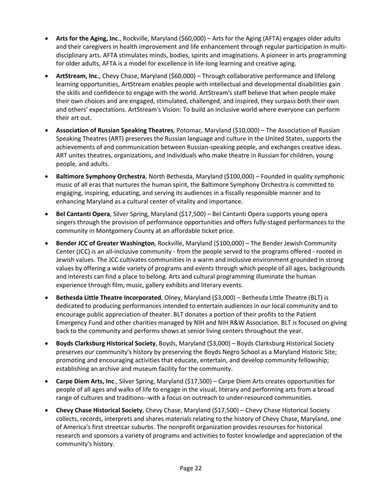- **Arts for the Aging, Inc**., Rockville, Maryland (\$60,000) Arts for the Aging (AFTA) engages older adults and their caregivers in health improvement and life enhancement through regular participation in multidisciplinary arts. AFTA stimulates minds, bodies, spirits and imaginations. A pioneer in arts programming for older adults, AFTA is a model for excellence in life-long learning and creative aging.
- **ArtStream, Inc**., Chevy Chase, Maryland (\$60,000) Through collaborative performance and lifelong learning opportunities, ArtStream enables people with intellectual and developmental disabilities gain the skills and confidence to engage with the world. ArtStream's staff believe that when people make their own choices and are engaged, stimulated, challenged, and inspired, they surpass both their own and others' expectations. ArtStream's Vision: To build an inclusive world where everyone can perform their art out.
- **Association of Russian Speaking Theatres**, Potomac, Maryland (\$10,000) The Association of Russian Speaking Theatres (ART) preserves the Russian language and culture in the United States, supports the achievements of and communication between Russian-speaking people, and exchanges creative ideas. ART unites theatres, organizations, and individuals who make theatre in Russian for children, young people, and adults.
- **Baltimore Symphony Orchestra**, North Bethesda, Maryland (\$100,000) Founded in quality symphonic music of all eras that nurtures the human spirit, the Baltimore Symphony Orchestra is committed to engaging, inspiring, educating, and serving its audiences in a fiscally responsible manner and to enhancing Maryland as a cultural center of vitality and importance.
- **Bel Cantanti Opera**, Silver Spring, Maryland (\$17,500) Bel Cantanti Opera supports young opera singers through the provision of performance opportunities and offers fully-staged performances to the community in Montgomery County at an affordable ticket price.
- **Bender JCC of Greater Washington**, Rockville, Maryland (\$100,000) The Bender Jewish Community Center (JCC) is an all-inclusive community - from the people served to the programs offered - rooted in Jewish values. The JCC cultivates communities in a warm and inclusive environment grounded in strong values by offering a wide variety of programs and events through which people of all ages, backgrounds and interests can find a place to belong. Arts and cultural programming illuminate the human experience through film, music, gallery exhibits and literary events.
- **Bethesda Little Theatre Incorporated**, Olney, Maryland (\$3,000) Bethesda Little Theatre (BLT) is dedicated to producing performances intended to entertain audiences in our local community and to encourage public appreciation of theater. BLT donates a portion of their profits to the Patient Emergency Fund and other charities managed by NIH and NIH R&W Association. BLT is focused on giving back to the community and performs shows at senior living centers throughout the year.
- **Boyds Clarksburg Historical Society**, Boyds, Maryland (\$3,000) Boyds Clarksburg Historical Society preserves our community's history by preserving the Boyds Negro School as a Maryland Historic Site; promoting and encouraging activities that educate, entertain, and develop community fellowship; establishing an archive and museum facility for the community.
- **Carpe Diem Arts, Inc**., Silver Spring, Maryland (\$17,500) Carpe Diem Arts creates opportunities for people of all ages and walks of life to engage in the visual, literary and performing arts from a broad range of cultures and traditions--with a focus on outreach to under-resourced communities.
- **Chevy Chase Historical Society**, Chevy Chase, Maryland (\$17,500) Chevy Chase Historical Society collects, records, interprets and shares materials relating to the history of Chevy Chase, Maryland, one of America's first streetcar suburbs. The nonprofit organization provides resources for historical research and sponsors a variety of programs and activities to foster knowledge and appreciation of the community's history.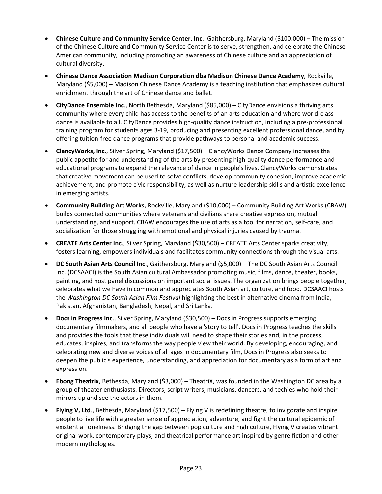- **Chinese Culture and Community Service Center, Inc**., Gaithersburg, Maryland (\$100,000) The mission of the Chinese Culture and Community Service Center is to serve, strengthen, and celebrate the Chinese American community, including promoting an awareness of Chinese culture and an appreciation of cultural diversity.
- **Chinese Dance Association Madison Corporation dba Madison Chinese Dance Academy**, Rockville, Maryland (\$5,000) – Madison Chinese Dance Academy is a teaching institution that emphasizes cultural enrichment through the art of Chinese dance and ballet.
- **CityDance Ensemble Inc**., North Bethesda, Maryland (\$85,000) CityDance envisions a thriving arts community where every child has access to the benefits of an arts education and where world-class dance is available to all. CityDance provides high-quality dance instruction, including a pre-professional training program for students ages 3-19, producing and presenting excellent professional dance, and by offering tuition-free dance programs that provide pathways to personal and academic success.
- **ClancyWorks, Inc**., Silver Spring, Maryland (\$17,500) ClancyWorks Dance Company increases the public appetite for and understanding of the arts by presenting high-quality dance performance and educational programs to expand the relevance of dance in people's lives. ClancyWorks demonstrates that creative movement can be used to solve conflicts, develop community cohesion, improve academic achievement, and promote civic responsibility, as well as nurture leadership skills and artistic excellence in emerging artists.
- **Community Building Art Works**, Rockville, Maryland (\$10,000) Community Building Art Works (CBAW) builds connected communities where veterans and civilians share creative expression, mutual understanding, and support. CBAW encourages the use of arts as a tool for narration, self-care, and socialization for those struggling with emotional and physical injuries caused by trauma.
- **CREATE Arts Center Inc**., Silver Spring, Maryland (\$30,500) CREATE Arts Center sparks creativity, fosters learning, empowers individuals and facilitates community connections through the visual arts.
- **DC South Asian Arts Council Inc**., Gaithersburg, Maryland (\$5,000) The DC South Asian Arts Council Inc. (DCSAACI) is the South Asian cultural Ambassador promoting music, films, dance, theater, books, painting, and host panel discussions on important social issues. The organization brings people together, celebrates what we have in common and appreciates South Asian art, culture, and food. DCSAACI hosts the *Washington DC South Asian Film Festival* highlighting the best in alternative cinema from India, Pakistan, Afghanistan, Bangladesh, Nepal, and Sri Lanka.
- **Docs in Progress Inc**., Silver Spring, Maryland (\$30,500) Docs in Progress supports emerging documentary filmmakers, and all people who have a 'story to tell'. Docs in Progress teaches the skills and provides the tools that these individuals will need to shape their stories and, in the process, educates, inspires, and transforms the way people view their world. By developing, encouraging, and celebrating new and diverse voices of all ages in documentary film, Docs in Progress also seeks to deepen the public's experience, understanding, and appreciation for documentary as a form of art and expression.
- **Ebong Theatrix**, Bethesda, Maryland (\$3,000) TheatriX, was founded in the Washington DC area by a group of theater enthusiasts. Directors, script writers, musicians, dancers, and techies who hold their mirrors up and see the actors in them.
- **Flying V, Ltd**., Bethesda, Maryland (\$17,500) Flying V is redefining theatre, to invigorate and inspire people to live life with a greater sense of appreciation, adventure, and fight the cultural epidemic of existential loneliness. Bridging the gap between pop culture and high culture, Flying V creates vibrant original work, contemporary plays, and theatrical performance art inspired by genre fiction and other modern mythologies.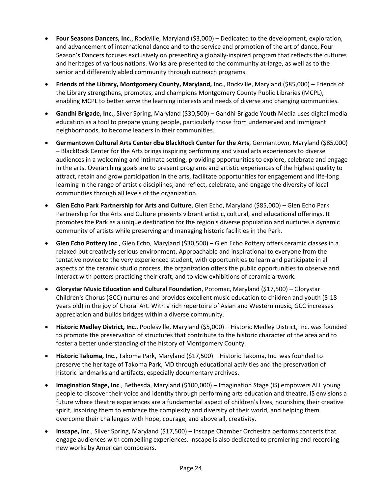- **Four Seasons Dancers, Inc**., Rockville, Maryland (\$3,000) Dedicated to the development, exploration, and advancement of international dance and to the service and promotion of the art of dance, Four Season's Dancers focuses exclusively on presenting a globally-inspired program that reflects the cultures and heritages of various nations. Works are presented to the community at-large, as well as to the senior and differently abled community through outreach programs.
- **Friends of the Library, Montgomery County, Maryland, Inc**., Rockville, Maryland (\$85,000) Friends of the Library strengthens, promotes, and champions Montgomery County Public Libraries (MCPL), enabling MCPL to better serve the learning interests and needs of diverse and changing communities.
- **Gandhi Brigade, Inc**., Silver Spring, Maryland (\$30,500) Gandhi Brigade Youth Media uses digital media education as a tool to prepare young people, particularly those from underserved and immigrant neighborhoods, to become leaders in their communities.
- **Germantown Cultural Arts Center dba BlackRock Center for the Arts**, Germantown, Maryland (\$85,000) – BlackRock Center for the Arts brings inspiring performing and visual arts experiences to diverse audiences in a welcoming and intimate setting, providing opportunities to explore, celebrate and engage in the arts. Overarching goals are to present programs and artistic experiences of the highest quality to attract, retain and grow participation in the arts, facilitate opportunities for engagement and life-long learning in the range of artistic disciplines, and reflect, celebrate, and engage the diversity of local communities through all levels of the organization.
- **Glen Echo Park Partnership for Arts and Culture**, Glen Echo, Maryland (\$85,000) Glen Echo Park Partnership for the Arts and Culture presents vibrant artistic, cultural, and educational offerings. It promotes the Park as a unique destination for the region's diverse population and nurtures a dynamic community of artists while preserving and managing historic facilities in the Park.
- **Glen Echo Pottery Inc**., Glen Echo, Maryland (\$30,500) Glen Echo Pottery offers ceramic classes in a relaxed but creatively serious environment. Approachable and inspirational to everyone from the tentative novice to the very experienced student, with opportunities to learn and participate in all aspects of the ceramic studio process, the organization offers the public opportunities to observe and interact with potters practicing their craft, and to view exhibitions of ceramic artwork.
- **Glorystar Music Education and Cultural Foundation**, Potomac, Maryland (\$17,500) Glorystar Children's Chorus (GCC) nurtures and provides excellent music education to children and youth (5-18 years old) in the joy of Choral Art. With a rich repertoire of Asian and Western music, GCC increases appreciation and builds bridges within a diverse community.
- **Historic Medley District, Inc**., Poolesville, Maryland (\$5,000) Historic Medley District, Inc. was founded to promote the preservation of structures that contribute to the historic character of the area and to foster a better understanding of the history of Montgomery County.
- **Historic Takoma, Inc**., Takoma Park, Maryland (\$17,500) Historic Takoma, Inc. was founded to preserve the heritage of Takoma Park, MD through educational activities and the preservation of historic landmarks and artifacts, especially documentary archives.
- **Imagination Stage, Inc**., Bethesda, Maryland (\$100,000) Imagination Stage (IS) empowers ALL young people to discover their voice and identity through performing arts education and theatre. IS envisions a future where theatre experiences are a fundamental aspect of children's lives, nourishing their creative spirit, inspiring them to embrace the complexity and diversity of their world, and helping them overcome their challenges with hope, courage, and above all, creativity.
- **Inscape, Inc**., Silver Spring, Maryland (\$17,500) Inscape Chamber Orchestra performs concerts that engage audiences with compelling experiences. Inscape is also dedicated to premiering and recording new works by American composers.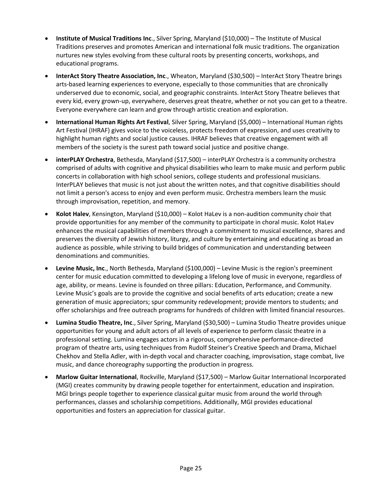- **Institute of Musical Traditions Inc**., Silver Spring, Maryland (\$10,000) The Institute of Musical Traditions preserves and promotes American and international folk music traditions. The organization nurtures new styles evolving from these cultural roots by presenting concerts, workshops, and educational programs.
- **InterAct Story Theatre Association, Inc**., Wheaton, Maryland (\$30,500) InterAct Story Theatre brings arts-based learning experiences to everyone, especially to those communities that are chronically underserved due to economic, social, and geographic constraints. InterAct Story Theatre believes that every kid, every grown-up, everywhere, deserves great theatre, whether or not you can get to a theatre. Everyone everywhere can learn and grow through artistic creation and exploration.
- **International Human Rights Art Festival**, Silver Spring, Maryland (\$5,000) International Human rights Art Festival (IHRAF) gives voice to the voiceless, protects freedom of expression, and uses creativity to highlight human rights and social justice causes. IHRAF believes that creative engagement with all members of the society is the surest path toward social justice and positive change.
- **interPLAY Orchestra**, Bethesda, Maryland (\$17,500) interPLAY Orchestra is a community orchestra comprised of adults with cognitive and physical disabilities who learn to make music and perform public concerts in collaboration with high school seniors, college students and professional musicians. InterPLAY believes that music is not just about the written notes, and that cognitive disabilities should not limit a person's access to enjoy and even perform music. Orchestra members learn the music through improvisation, repetition, and memory.
- **Kolot Halev**, Kensington, Maryland (\$10,000) Kolot HaLev is a non-audition community choir that provide opportunities for any member of the community to participate in choral music. Kolot HaLev enhances the musical capabilities of members through a commitment to musical excellence, shares and preserves the diversity of Jewish history, liturgy, and culture by entertaining and educating as broad an audience as possible, while striving to build bridges of communication and understanding between denominations and communities.
- **Levine Music, Inc**., North Bethesda, Maryland (\$100,000) Levine Music is the region's preeminent center for music education committed to developing a lifelong love of music in everyone, regardless of age, ability, or means. Levine is founded on three pillars: Education, Performance, and Community. Levine Music's goals are to provide the cognitive and social benefits of arts education; create a new generation of music appreciators; spur community redevelopment; provide mentors to students; and offer scholarships and free outreach programs for hundreds of children with limited financial resources.
- **Lumina Studio Theatre, Inc**., Silver Spring, Maryland (\$30,500) Lumina Studio Theatre provides unique opportunities for young and adult actors of all levels of experience to perform classic theatre in a professional setting. Lumina engages actors in a rigorous, comprehensive performance-directed program of theatre arts, using techniques from Rudolf Steiner's Creative Speech and Drama, Michael Chekhov and Stella Adler, with in-depth vocal and character coaching, improvisation, stage combat, live music, and dance choreography supporting the production in progress.
- **Marlow Guitar International**, Rockville, Maryland (\$17,500) Marlow Guitar International Incorporated (MGI) creates community by drawing people together for entertainment, education and inspiration. MGI brings people together to experience classical guitar music from around the world through performances, classes and scholarship competitions. Additionally, MGI provides educational opportunities and fosters an appreciation for classical guitar.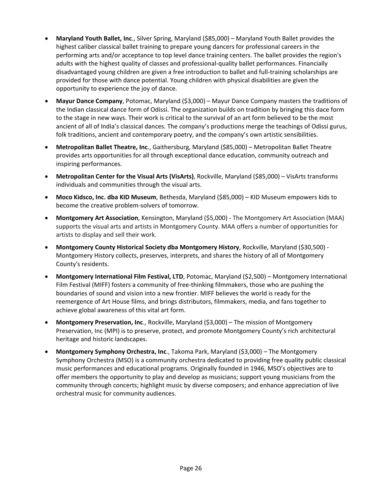- **Maryland Youth Ballet, Inc**., Silver Spring, Maryland (\$85,000) Maryland Youth Ballet provides the highest caliber classical ballet training to prepare young dancers for professional careers in the performing arts and/or acceptance to top level dance training centers. The ballet provides the region's adults with the highest quality of classes and professional-quality ballet performances. Financially disadvantaged young children are given a free introduction to ballet and full-training scholarships are provided for those with dance potential. Young children with physical disabilities are given the opportunity to experience the joy of dance.
- **Mayur Dance Company**, Potomac, Maryland (\$3,000) Mayur Dance Company masters the traditions of the Indian classical dance form of Odissi. The organization builds on tradition by bringing this dace form to the stage in new ways. Their work is critical to the survival of an art form believed to be the most ancient of all of India's classical dances. The company's productions merge the teachings of Odissi gurus, folk traditions, ancient and contemporary poetry, and the company's own artistic sensibilities.
- **Metropolitan Ballet Theatre, Inc**., Gaithersburg, Maryland (\$85,000) Metropolitan Ballet Theatre provides arts opportunities for all through exceptional dance education, community outreach and inspiring performances.
- **Metropolitan Center for the Visual Arts (VisArts)**, Rockville, Maryland (\$85,000) VisArts transforms individuals and communities through the visual arts.
- **Moco Kidsco, Inc. dba KID Museum**, Bethesda, Maryland (\$85,000) KID Museum empowers kids to become the creative problem-solvers of tomorrow.
- **Montgomery Art Association**, Kensington, Maryland (\$5,000) The Montgomery Art Association (MAA) supports the visual arts and artists in Montgomery County. MAA offers a number of opportunities for artists to display and sell their work.
- **Montgomery County Historical Society dba Montgomery History**, Rockville, Maryland (\$30,500) Montgomery History collects, preserves, interprets, and shares the history of all of Montgomery County's residents.
- **Montgomery International Film Festival, LTD**, Potomac, Maryland (\$2,500) Montgomery International Film Festival (MIFF) fosters a community of free-thinking filmmakers, those who are pushing the boundaries of sound and vision into a new frontier. MIFF believes the world is ready for the reemergence of Art House films, and brings distributors, filmmakers, media, and fans together to achieve global awareness of this vital art form.
- **Montgomery Preservation, Inc**., Rockville, Maryland (\$3,000) The mission of Montgomery Preservation, Inc (MPI) is to preserve, protect, and promote Montgomery County's rich architectural heritage and historic landscapes.
- **Montgomery Symphony Orchestra, Inc**., Takoma Park, Maryland (\$3,000) The Montgomery Symphony Orchestra (MSO) is a community orchestra dedicated to providing free quality public classical music performances and educational programs. Originally founded in 1946, MSO's objectives are to offer members the opportunity to play and develop as musicians; support young musicians from the community through concerts; highlight music by diverse composers; and enhance appreciation of live orchestral music for community audiences.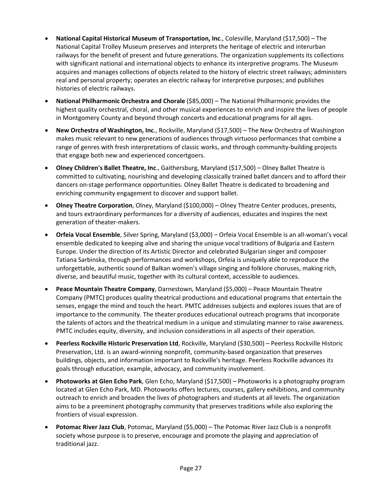- **National Capital Historical Museum of Transportation, Inc**., Colesville, Maryland (\$17,500) The National Capital Trolley Museum preserves and interprets the heritage of electric and interurban railways for the benefit of present and future generations. The organization supplements its collections with significant national and international objects to enhance its interpretive programs. The Museum acquires and manages collections of objects related to the history of electric street railways; administers real and personal property; operates an electric railway for interpretive purposes; and publishes histories of electric railways.
- **National Philharmonic Orchestra and Chorale** (\$85,000) The National Philharmonic provides the highest quality orchestral, choral, and other musical experiences to enrich and inspire the lives of people in Montgomery County and beyond through concerts and educational programs for all ages.
- **New Orchestra of Washington, Inc**., Rockville, Maryland (\$17,500) The New Orchestra of Washington makes music relevant to new generations of audiences through virtuoso performances that combine a range of genres with fresh interpretations of classic works, and through community-building projects that engage both new and experienced concertgoers.
- **Olney Children's Ballet Theatre, Inc**., Gaithersburg, Maryland (\$17,500) Olney Ballet Theatre is committed to cultivating, nourishing and developing classically trained ballet dancers and to afford their dancers on-stage performance opportunities. Olney Ballet Theatre is dedicated to broadening and enriching community engagement to discover and support ballet.
- **Olney Theatre Corporation**, Olney, Maryland (\$100,000) Olney Theatre Center produces, presents, and tours extraordinary performances for a diversity of audiences, educates and inspires the next generation of theater-makers.
- **Orfeia Vocal Ensemble**, Silver Spring, Maryland (\$3,000) Orfeia Vocal Ensemble is an all-woman's vocal ensemble dedicated to keeping alive and sharing the unique vocal traditions of Bulgaria and Eastern Europe. Under the direction of its Artistic Director and celebrated Bulgarian singer and composer Tatiana Sarbinska, through performances and workshops, Orfeia is uniquely able to reproduce the unforgettable, authentic sound of Balkan women's village singing and folklore choruses, making rich, diverse, and beautiful music, together with its cultural context, accessible to audiences.
- **Peace Mountain Theatre Company**, Darnestown, Maryland (\$5,000) Peace Mountain Theatre Company (PMTC) produces quality theatrical productions and educational programs that entertain the senses, engage the mind and touch the heart. PMTC addresses subjects and explores issues that are of importance to the community. The theater produces educational outreach programs that incorporate the talents of actors and the theatrical medium in a unique and stimulating manner to raise awareness. PMTC includes equity, diversity, and inclusion considerations in all aspects of their operation.
- **Peerless Rockville Historic Preservation Ltd**, Rockville, Maryland (\$30,500) Peerless Rockville Historic Preservation, Ltd. is an award-winning nonprofit, community-based organization that preserves buildings, objects, and information important to Rockville's heritage. Peerless Rockville advances its goals through education, example, advocacy, and community involvement.
- **Photoworks at Glen Echo Park**, Glen Echo, Maryland (\$17,500) Photoworks is a photography program located at Glen Echo Park, MD. Photoworks offers lectures, courses, gallery exhibitions, and community outreach to enrich and broaden the lives of photographers and students at all levels. The organization aims to be a preeminent photography community that preserves traditions while also exploring the frontiers of visual expression.
- **Potomac River Jazz Club**, Potomac, Maryland (\$5,000) The Potomac River Jazz Club is a nonprofit society whose purpose is to preserve, encourage and promote the playing and appreciation of traditional jazz.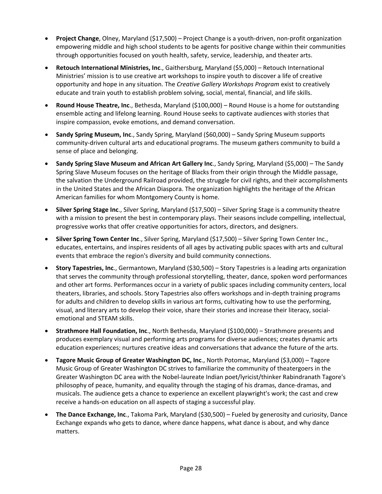- **Project Change**, Olney, Maryland (\$17,500) Project Change is a youth-driven, non-profit organization empowering middle and high school students to be agents for positive change within their communities through opportunities focused on youth health, safety, service, leadership, and theater arts.
- **Retouch International Ministries, Inc**., Gaithersburg, Maryland (\$5,000) Retouch International Ministries' mission is to use creative art workshops to inspire youth to discover a life of creative opportunity and hope in any situation. The *Creative Gallery Workshops Program* exist to creatively educate and train youth to establish problem solving, social, mental, financial, and life skills.
- **Round House Theatre, Inc**., Bethesda, Maryland (\$100,000) Round House is a home for outstanding ensemble acting and lifelong learning. Round House seeks to captivate audiences with stories that inspire compassion, evoke emotions, and demand conversation.
- **Sandy Spring Museum, Inc**., Sandy Spring, Maryland (\$60,000) Sandy Spring Museum supports community-driven cultural arts and educational programs. The museum gathers community to build a sense of place and belonging.
- **Sandy Spring Slave Museum and African Art Gallery Inc**., Sandy Spring, Maryland (\$5,000) The Sandy Spring Slave Museum focuses on the heritage of Blacks from their origin through the Middle passage, the salvation the Underground Railroad provided, the struggle for civil rights, and their accomplishments in the United States and the African Diaspora. The organization highlights the heritage of the African American families for whom Montgomery County is home.
- **Silver Spring Stage Inc**., Silver Spring, Maryland (\$17,500) Silver Spring Stage is a community theatre with a mission to present the best in contemporary plays. Their seasons include compelling, intellectual, progressive works that offer creative opportunities for actors, directors, and designers.
- **Silver Spring Town Center Inc**., Silver Spring, Maryland (\$17,500) Silver Spring Town Center Inc., educates, entertains, and inspires residents of all ages by activating public spaces with arts and cultural events that embrace the region's diversity and build community connections.
- **Story Tapestries, Inc**., Germantown, Maryland (\$30,500) Story Tapestries is a leading arts organization that serves the community through professional storytelling, theater, dance, spoken word performances and other art forms. Performances occur in a variety of public spaces including community centers, local theaters, libraries, and schools. Story Tapestries also offers workshops and in-depth training programs for adults and children to develop skills in various art forms, cultivating how to use the performing, visual, and literary arts to develop their voice, share their stories and increase their literacy, socialemotional and STEAM skills.
- **Strathmore Hall Foundation, Inc**., North Bethesda, Maryland (\$100,000) Strathmore presents and produces exemplary visual and performing arts programs for diverse audiences; creates dynamic arts education experiences; nurtures creative ideas and conversations that advance the future of the arts.
- **Tagore Music Group of Greater Washington DC, Inc**., North Potomac, Maryland (\$3,000) Tagore Music Group of Greater Washington DC strives to familiarize the community of theatergoers in the Greater Washington DC area with the Nobel-laureate Indian poet/lyricist/thinker Rabindranath Tagore's philosophy of peace, humanity, and equality through the staging of his dramas, dance-dramas, and musicals. The audience gets a chance to experience an excellent playwright's work; the cast and crew receive a hands-on education on all aspects of staging a successful play.
- **The Dance Exchange, Inc**., Takoma Park, Maryland (\$30,500) Fueled by generosity and curiosity, Dance Exchange expands who gets to dance, where dance happens, what dance is about, and why dance matters.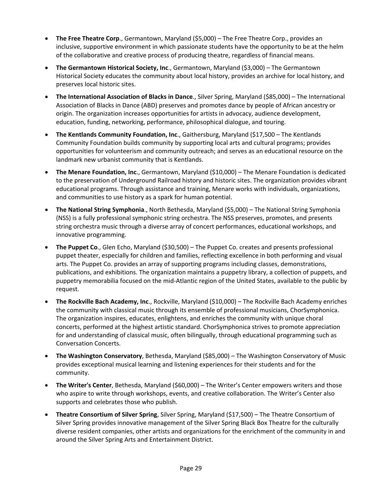- **The Free Theatre Corp**., Germantown, Maryland (\$5,000) The Free Theatre Corp., provides an inclusive, supportive environment in which passionate students have the opportunity to be at the helm of the collaborative and creative process of producing theatre, regardless of financial means.
- **The Germantown Historical Society, Inc**., Germantown, Maryland (\$3,000) The Germantown Historical Society educates the community about local history, provides an archive for local history, and preserves local historic sites.
- **The International Association of Blacks in Dance**., Silver Spring, Maryland (\$85,000) The International Association of Blacks in Dance (ABD) preserves and promotes dance by people of African ancestry or origin. The organization increases opportunities for artists in advocacy, audience development, education, funding, networking, performance, philosophical dialogue, and touring.
- **The Kentlands Community Foundation, Inc**., Gaithersburg, Maryland (\$17,500 The Kentlands Community Foundation builds community by supporting local arts and cultural programs; provides opportunities for volunteerism and community outreach; and serves as an educational resource on the landmark new urbanist community that is Kentlands.
- **The Menare Foundation, Inc**., Germantown, Maryland (\$10,000) The Menare Foundation is dedicated to the preservation of Underground Railroad history and historic sites. The organization provides vibrant educational programs. Through assistance and training, Menare works with individuals, organizations, and communities to use history as a spark for human potential.
- **The National String Symphonia**., North Bethesda, Maryland (\$5,000) The National String Symphonia (NSS) is a fully professional symphonic string orchestra. The NSS preserves, promotes, and presents string orchestra music through a diverse array of concert performances, educational workshops, and innovative programming.
- **The Puppet Co**., Glen Echo, Maryland (\$30,500) The Puppet Co. creates and presents professional puppet theater, especially for children and families, reflecting excellence in both performing and visual arts. The Puppet Co. provides an array of supporting programs including classes, demonstrations, publications, and exhibitions. The organization maintains a puppetry library, a collection of puppets, and puppetry memorabilia focused on the mid-Atlantic region of the United States, available to the public by request.
- **The Rockville Bach Academy, Inc**., Rockville, Maryland (\$10,000) The Rockville Bach Academy enriches the community with classical music through its ensemble of professional musicians, ChorSymphonica. The organization inspires, educates, enlightens, and enriches the community with unique choral concerts, performed at the highest artistic standard. ChorSymphonica strives to promote appreciation for and understanding of classical music, often bilingually, through educational programming such as Conversation Concerts.
- **The Washington Conservatory**, Bethesda, Maryland (\$85,000) The Washington Conservatory of Music provides exceptional musical learning and listening experiences for their students and for the community.
- **The Writer's Center**, Bethesda, Maryland (\$60,000) The Writer's Center empowers writers and those who aspire to write through workshops, events, and creative collaboration. The Writer's Center also supports and celebrates those who publish.
- **Theatre Consortium of Silver Spring**, Silver Spring, Maryland (\$17,500) The Theatre Consortium of Silver Spring provides innovative management of the Silver Spring Black Box Theatre for the culturally diverse resident companies, other artists and organizations for the enrichment of the community in and around the Silver Spring Arts and Entertainment District.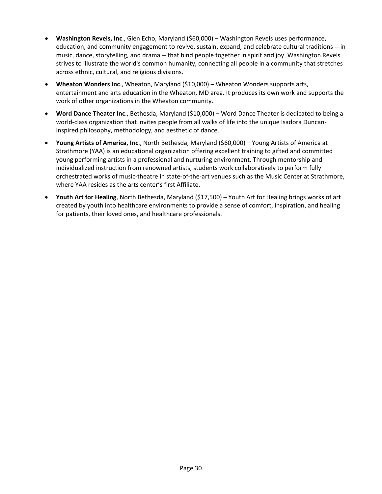- **Washington Revels, Inc**., Glen Echo, Maryland (\$60,000) Washington Revels uses performance, education, and community engagement to revive, sustain, expand, and celebrate cultural traditions -- in music, dance, storytelling, and drama -- that bind people together in spirit and joy. Washington Revels strives to illustrate the world's common humanity, connecting all people in a community that stretches across ethnic, cultural, and religious divisions.
- **Wheaton Wonders Inc**., Wheaton, Maryland (\$10,000) Wheaton Wonders supports arts, entertainment and arts education in the Wheaton, MD area. It produces its own work and supports the work of other organizations in the Wheaton community.
- **Word Dance Theater Inc**., Bethesda, Maryland (\$10,000) Word Dance Theater is dedicated to being a world-class organization that invites people from all walks of life into the unique Isadora Duncaninspired philosophy, methodology, and aesthetic of dance.
- **Young Artists of America, Inc**., North Bethesda, Maryland (\$60,000) Young Artists of America at Strathmore (YAA) is an educational organization offering excellent training to gifted and committed young performing artists in a professional and nurturing environment. Through mentorship and individualized instruction from renowned artists, students work collaboratively to perform fully orchestrated works of music-theatre in state-of-the-art venues such as the Music Center at Strathmore, where YAA resides as the arts center's first Affiliate.
- **Youth Art for Healing**, North Bethesda, Maryland (\$17,500) Youth Art for Healing brings works of art created by youth into healthcare environments to provide a sense of comfort, inspiration, and healing for patients, their loved ones, and healthcare professionals.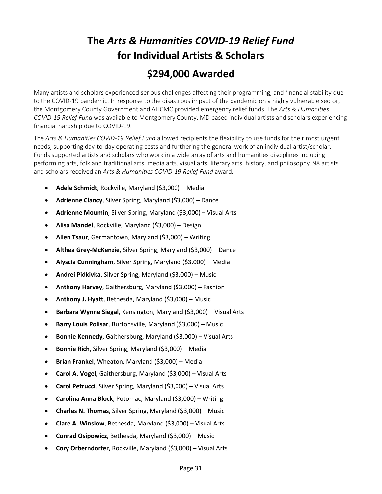#### <span id="page-30-0"></span>**The** *Arts & Humanities COVID-19 Relief Fund* **for Individual Artists & Scholars \$294,000 Awarded**

Many artists and scholars experienced serious challenges affecting their programming, and financial stability due to the COVID-19 pandemic. In response to the disastrous impact of the pandemic on a highly vulnerable sector, the Montgomery County Government and AHCMC provided emergency relief funds. The *Arts & Humanities COVID-19 Relief Fund* was available to Montgomery County, MD based individual artists and scholars experiencing financial hardship due to COVID-19.

The *Arts & Humanities COVID-19 Relief Fund* allowed recipients the flexibility to use funds for their most urgent needs, supporting day-to-day operating costs and furthering the general work of an individual artist/scholar. Funds supported artists and scholars who work in a wide array of arts and humanities disciplines including performing arts, folk and traditional arts, media arts, visual arts, literary arts, history, and philosophy. 98 artists and scholars received an *Arts & Humanities COVID-19 Relief Fund* award.

- **Adele Schmidt**, Rockville, Maryland (\$3,000) Media
- **Adrienne Clancy**, Silver Spring, Maryland (\$3,000) Dance
- **Adrienne Moumin**, Silver Spring, Maryland (\$3,000) Visual Arts
- **Alisa Mandel**, Rockville, Maryland (\$3,000) Design
- **Allen Tsaur**, Germantown, Maryland (\$3,000) Writing
- **Althea Grey-McKenzie**, Silver Spring, Maryland (\$3,000) Dance
- **Alyscia Cunningham**, Silver Spring, Maryland (\$3,000) Media
- **Andrei Pidkivka**, Silver Spring, Maryland (\$3,000) Music
- **Anthony Harvey**, Gaithersburg, Maryland (\$3,000) Fashion
- **Anthony J. Hyatt**, Bethesda, Maryland (\$3,000) Music
- **Barbara Wynne Siegal**, Kensington, Maryland (\$3,000) Visual Arts
- **Barry Louis Polisar**, Burtonsville, Maryland (\$3,000) Music
- **Bonnie Kennedy**, Gaithersburg, Maryland (\$3,000) Visual Arts
- **Bonnie Rich**, Silver Spring, Maryland (\$3,000) Media
- **Brian Frankel**, Wheaton, Maryland (\$3,000) Media
- **Carol A. Vogel**, Gaithersburg, Maryland (\$3,000) Visual Arts
- **Carol Petrucci**, Silver Spring, Maryland (\$3,000) Visual Arts
- **Carolina Anna Block**, Potomac, Maryland (\$3,000) Writing
- **Charles N. Thomas**, Silver Spring, Maryland (\$3,000) Music
- **Clare A. Winslow**, Bethesda, Maryland (\$3,000) Visual Arts
- **Conrad Osipowicz**, Bethesda, Maryland (\$3,000) Music
- **Cory Orberndorfer**, Rockville, Maryland (\$3,000) Visual Arts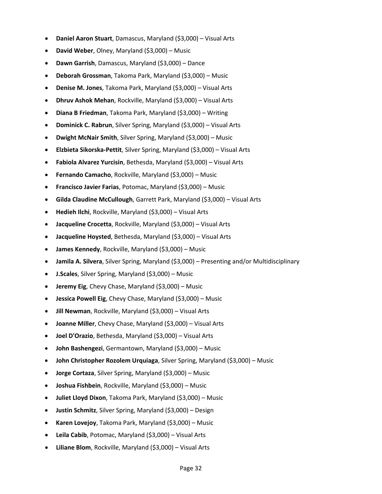- **Daniel Aaron Stuart**, Damascus, Maryland (\$3,000) Visual Arts
- **David Weber**, Olney, Maryland (\$3,000) Music
- **Dawn Garrish**, Damascus, Maryland (\$3,000) Dance
- **Deborah Grossman**, Takoma Park, Maryland (\$3,000) Music
- **Denise M. Jones**, Takoma Park, Maryland (\$3,000) Visual Arts
- **Dhruv Ashok Mehan**, Rockville, Maryland (\$3,000) Visual Arts
- **Diana B Friedman**, Takoma Park, Maryland (\$3,000) Writing
- **Dominick C. Rabrun**, Silver Spring, Maryland (\$3,000) Visual Arts
- **Dwight McNair Smith**, Silver Spring, Maryland (\$3,000) Music
- **Elzbieta Sikorska-Pettit**, Silver Spring, Maryland (\$3,000) Visual Arts
- **Fabiola Alvarez Yurcisin**, Bethesda, Maryland (\$3,000) Visual Arts
- **Fernando Camacho**, Rockville, Maryland (\$3,000) Music
- **Francisco Javier Farias**, Potomac, Maryland (\$3,000) Music
- **Gilda Claudine McCullough**, Garrett Park, Maryland (\$3,000) Visual Arts
- **Hedieh Ilchi**, Rockville, Maryland (\$3,000) Visual Arts
- **Jacqueline Crocetta**, Rockville, Maryland (\$3,000) Visual Arts
- **Jacqueline Hoysted**, Bethesda, Maryland (\$3,000) Visual Arts
- **James Kennedy**, Rockville, Maryland (\$3,000) Music
- **Jamila A. Silvera**, Silver Spring, Maryland (\$3,000) Presenting and/or Multidisciplinary
- **J.Scales**, Silver Spring, Maryland (\$3,000) Music
- **Jeremy Eig**, Chevy Chase, Maryland (\$3,000) Music
- **Jessica Powell Eig**, Chevy Chase, Maryland (\$3,000) Music
- **Jill Newman**, Rockville, Maryland (\$3,000) Visual Arts
- **Joanne Miller**, Chevy Chase, Maryland (\$3,000) Visual Arts
- **Joel D'Orazio**, Bethesda, Maryland (\$3,000) Visual Arts
- **John Bashengezi**, Germantown, Maryland (\$3,000) Music
- **John Christopher Rozolem Urquiaga**, Silver Spring, Maryland (\$3,000) Music
- **Jorge Cortaza**, Silver Spring, Maryland (\$3,000) Music
- **Joshua Fishbein**, Rockville, Maryland (\$3,000) Music
- **Juliet Lloyd Dixon**, Takoma Park, Maryland (\$3,000) Music
- **Justin Schmitz**, Silver Spring, Maryland (\$3,000) Design
- **Karen Lovejoy**, Takoma Park, Maryland (\$3,000) Music
- **Leila Cabib**, Potomac, Maryland (\$3,000) Visual Arts
- **Liliane Blom**, Rockville, Maryland (\$3,000) Visual Arts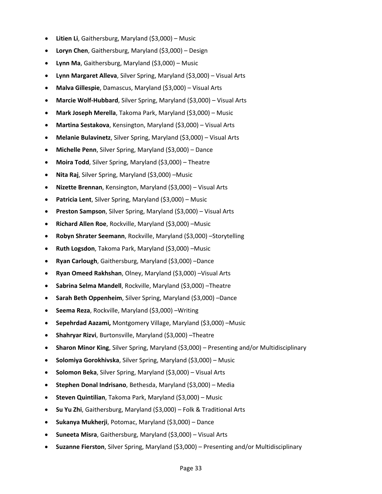- **Litien Li**, Gaithersburg, Maryland (\$3,000) Music
- **Loryn Chen**, Gaithersburg, Maryland (\$3,000) Design
- **Lynn Ma**, Gaithersburg, Maryland (\$3,000) Music
- **Lynn Margaret Alleva**, Silver Spring, Maryland (\$3,000) Visual Arts
- **Malva Gillespie**, Damascus, Maryland (\$3,000) Visual Arts
- **Marcie Wolf-Hubbard**, Silver Spring, Maryland (\$3,000) Visual Arts
- **Mark Joseph Merella**, Takoma Park, Maryland (\$3,000) Music
- **Martina Sestakova**, Kensington, Maryland (\$3,000) Visual Arts
- **Melanie Bulavinetz**, Silver Spring, Maryland (\$3,000) Visual Arts
- **Michelle Penn**, Silver Spring, Maryland (\$3,000) Dance
- **Moira Todd**, Silver Spring, Maryland (\$3,000) Theatre
- **Nita Raj**, Silver Spring, Maryland (\$3,000) –Music
- **Nizette Brennan**, Kensington, Maryland (\$3,000) Visual Arts
- **Patricia Lent**, Silver Spring, Maryland (\$3,000) Music
- **Preston Sampson**, Silver Spring, Maryland (\$3,000) Visual Arts
- **Richard Allen Roe**, Rockville, Maryland (\$3,000) –Music
- **Robyn Shrater Seemann**, Rockville, Maryland (\$3,000) –Storytelling
- **Ruth Logsdon**, Takoma Park, Maryland (\$3,000) –Music
- **Ryan Carlough**, Gaithersburg, Maryland (\$3,000) –Dance
- **Ryan Omeed Rakhshan**, Olney, Maryland (\$3,000) –Visual Arts
- **Sabrina Selma Mandell**, Rockville, Maryland (\$3,000) –Theatre
- **Sarah Beth Oppenheim**, Silver Spring, Maryland (\$3,000) –Dance
- **Seema Reza**, Rockville, Maryland (\$3,000) –Writing
- **Sepehrdad Aazami,** Montgomery Village, Maryland (\$3,000) –Music
- **Shahryar Rizvi**, Burtonsville, Maryland (\$3,000) –Theatre
- **Sharon Minor King**, Silver Spring, Maryland (\$3,000) Presenting and/or Multidisciplinary
- **Solomiya Gorokhivska**, Silver Spring, Maryland (\$3,000) Music
- **Solomon Beka**, Silver Spring, Maryland (\$3,000) Visual Arts
- **Stephen Donal Indrisano**, Bethesda, Maryland (\$3,000) Media
- **Steven Quintilian**, Takoma Park, Maryland (\$3,000) Music
- **Su Yu Zhi**, Gaithersburg, Maryland (\$3,000) Folk & Traditional Arts
- **Sukanya Mukherji**, Potomac, Maryland (\$3,000) Dance
- **Suneeta Misra**, Gaithersburg, Maryland (\$3,000) Visual Arts
- **Suzanne Fierston**, Silver Spring, Maryland (\$3,000) Presenting and/or Multidisciplinary